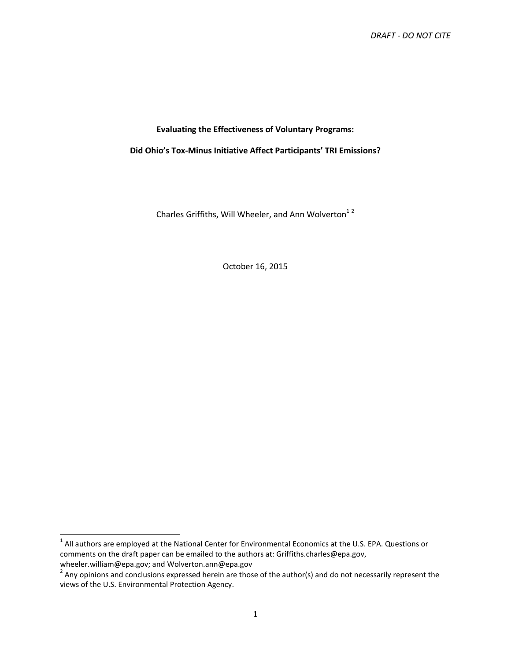# **Evaluating the Effectiveness of Voluntary Programs:**

**Did Ohio's Tox-Minus Initiative Affect Participants' TRI Emissions?** 

Charles Griffiths, Will Wheeler, and Ann Wolverton<sup>12</sup>

October 16, 2015

-

 $^1$  All authors are employed at the National Center for Environmental Economics at the U.S. EPA. Questions or comments on the draft paper can be emailed to the authors at: Griffiths.charles@epa.gov, wheeler.william@epa.gov; and Wolverton.ann@epa.gov

<sup>&</sup>lt;sup>2</sup> Any opinions and conclusions expressed herein are those of the author(s) and do not necessarily represent the views of the U.S. Environmental Protection Agency.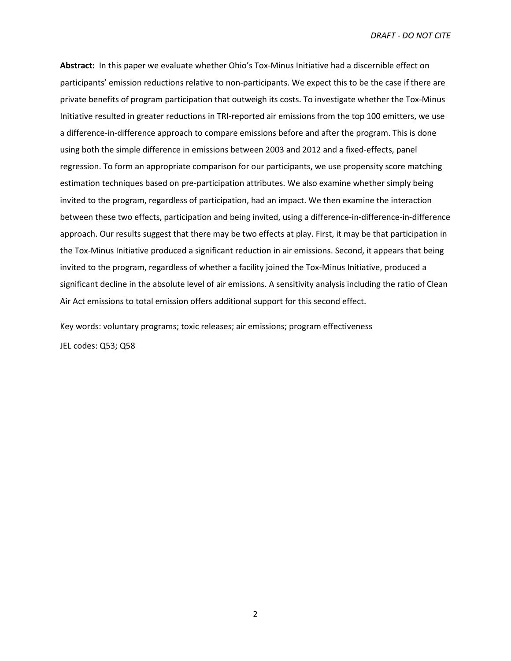**Abstract:** In this paper we evaluate whether Ohio's Tox-Minus Initiative had a discernible effect on participants' emission reductions relative to non-participants. We expect this to be the case if there are private benefits of program participation that outweigh its costs. To investigate whether the Tox-Minus Initiative resulted in greater reductions in TRI-reported air emissions from the top 100 emitters, we use a difference-in-difference approach to compare emissions before and after the program. This is done using both the simple difference in emissions between 2003 and 2012 and a fixed-effects, panel regression. To form an appropriate comparison for our participants, we use propensity score matching estimation techniques based on pre-participation attributes. We also examine whether simply being invited to the program, regardless of participation, had an impact. We then examine the interaction between these two effects, participation and being invited, using a difference-in-difference-in-difference approach. Our results suggest that there may be two effects at play. First, it may be that participation in the Tox-Minus Initiative produced a significant reduction in air emissions. Second, it appears that being invited to the program, regardless of whether a facility joined the Tox-Minus Initiative, produced a significant decline in the absolute level of air emissions. A sensitivity analysis including the ratio of Clean Air Act emissions to total emission offers additional support for this second effect.

Key words: voluntary programs; toxic releases; air emissions; program effectiveness JEL codes: Q53; Q58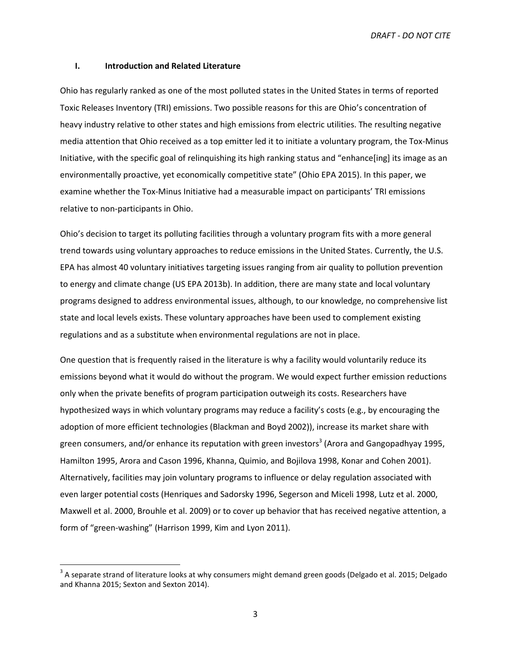#### **I. Introduction and Related Literature**

Ohio has regularly ranked as one of the most polluted states in the United States in terms of reported Toxic Releases Inventory (TRI) emissions. Two possible reasons for this are Ohio's concentration of heavy industry relative to other states and high emissions from electric utilities. The resulting negative media attention that Ohio received as a top emitter led it to initiate a voluntary program, the Tox-Minus Initiative, with the specific goal of relinquishing its high ranking status and "enhance[ing] its image as an environmentally proactive, yet economically competitive state" (Ohio EPA 2015). In this paper, we examine whether the Tox-Minus Initiative had a measurable impact on participants' TRI emissions relative to non-participants in Ohio.

Ohio's decision to target its polluting facilities through a voluntary program fits with a more general trend towards using voluntary approaches to reduce emissions in the United States. Currently, the U.S. EPA has almost 40 voluntary initiatives targeting issues ranging from air quality to pollution prevention to energy and climate change (US EPA 2013b). In addition, there are many state and local voluntary programs designed to address environmental issues, although, to our knowledge, no comprehensive list state and local levels exists. These voluntary approaches have been used to complement existing regulations and as a substitute when environmental regulations are not in place.

One question that is frequently raised in the literature is why a facility would voluntarily reduce its emissions beyond what it would do without the program. We would expect further emission reductions only when the private benefits of program participation outweigh its costs. Researchers have hypothesized ways in which voluntary programs may reduce a facility's costs (e.g., by encouraging the adoption of more efficient technologies (Blackman and Boyd 2002)), increase its market share with green consumers, and/or enhance its reputation with green investors<sup>3</sup> (Arora and Gangopadhyay 1995, Hamilton 1995, Arora and Cason 1996, Khanna, Quimio, and Bojilova 1998, Konar and Cohen 2001). Alternatively, facilities may join voluntary programs to influence or delay regulation associated with even larger potential costs (Henriques and Sadorsky 1996, Segerson and Miceli 1998, Lutz et al. 2000, Maxwell et al. 2000, Brouhle et al. 2009) or to cover up behavior that has received negative attention, a form of "green-washing" (Harrison 1999, Kim and Lyon 2011).

 $\overline{a}$ 

 $3$  A separate strand of literature looks at why consumers might demand green goods (Delgado et al. 2015; Delgado and Khanna 2015; Sexton and Sexton 2014).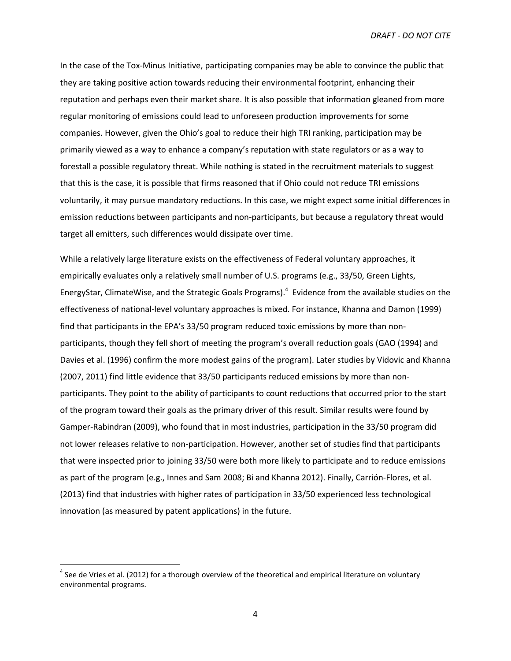In the case of the Tox-Minus Initiative, participating companies may be able to convince the public that they are taking positive action towards reducing their environmental footprint, enhancing their reputation and perhaps even their market share. It is also possible that information gleaned from more regular monitoring of emissions could lead to unforeseen production improvements for some companies. However, given the Ohio's goal to reduce their high TRI ranking, participation may be primarily viewed as a way to enhance a company's reputation with state regulators or as a way to forestall a possible regulatory threat. While nothing is stated in the recruitment materials to suggest that this is the case, it is possible that firms reasoned that if Ohio could not reduce TRI emissions voluntarily, it may pursue mandatory reductions. In this case, we might expect some initial differences in emission reductions between participants and non-participants, but because a regulatory threat would target all emitters, such differences would dissipate over time.

While a relatively large literature exists on the effectiveness of Federal voluntary approaches, it empirically evaluates only a relatively small number of U.S. programs (e.g., 33/50, Green Lights, EnergyStar, ClimateWise, and the Strategic Goals Programs).<sup>4</sup> Evidence from the available studies on the effectiveness of national-level voluntary approaches is mixed. For instance, Khanna and Damon (1999) find that participants in the EPA's 33/50 program reduced toxic emissions by more than nonparticipants, though they fell short of meeting the program's overall reduction goals (GAO (1994) and Davies et al. (1996) confirm the more modest gains of the program). Later studies by Vidovic and Khanna (2007, 2011) find little evidence that 33/50 participants reduced emissions by more than nonparticipants. They point to the ability of participants to count reductions that occurred prior to the start of the program toward their goals as the primary driver of this result. Similar results were found by Gamper-Rabindran (2009), who found that in most industries, participation in the 33/50 program did not lower releases relative to non-participation. However, another set of studies find that participants that were inspected prior to joining 33/50 were both more likely to participate and to reduce emissions as part of the program (e.g., Innes and Sam 2008; Bi and Khanna 2012). Finally, Carrión-Flores, et al. (2013) find that industries with higher rates of participation in 33/50 experienced less technological innovation (as measured by patent applications) in the future.

 $\overline{a}$ 

 $<sup>4</sup>$  See de Vries et al. (2012) for a thorough overview of the theoretical and empirical literature on voluntary</sup> environmental programs.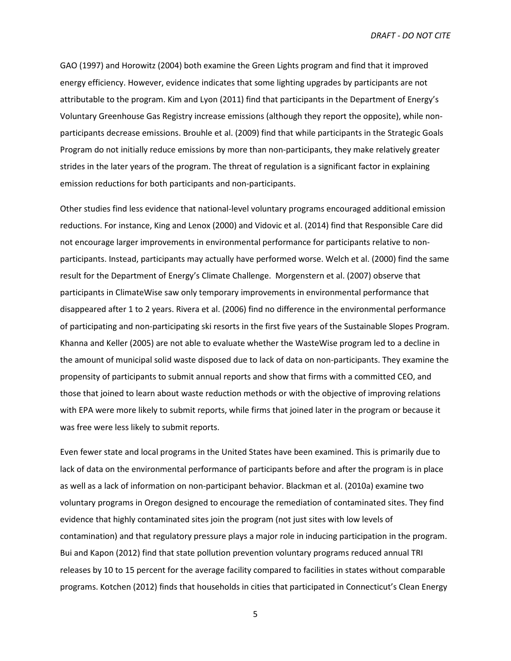GAO (1997) and Horowitz (2004) both examine the Green Lights program and find that it improved energy efficiency. However, evidence indicates that some lighting upgrades by participants are not attributable to the program. Kim and Lyon (2011) find that participants in the Department of Energy's Voluntary Greenhouse Gas Registry increase emissions (although they report the opposite), while nonparticipants decrease emissions. Brouhle et al. (2009) find that while participants in the Strategic Goals Program do not initially reduce emissions by more than non-participants, they make relatively greater strides in the later years of the program. The threat of regulation is a significant factor in explaining emission reductions for both participants and non-participants.

Other studies find less evidence that national-level voluntary programs encouraged additional emission reductions. For instance, King and Lenox (2000) and Vidovic et al. (2014) find that Responsible Care did not encourage larger improvements in environmental performance for participants relative to nonparticipants. Instead, participants may actually have performed worse. Welch et al. (2000) find the same result for the Department of Energy's Climate Challenge. Morgenstern et al. (2007) observe that participants in ClimateWise saw only temporary improvements in environmental performance that disappeared after 1 to 2 years. Rivera et al. (2006) find no difference in the environmental performance of participating and non-participating ski resorts in the first five years of the Sustainable Slopes Program. Khanna and Keller (2005) are not able to evaluate whether the WasteWise program led to a decline in the amount of municipal solid waste disposed due to lack of data on non-participants. They examine the propensity of participants to submit annual reports and show that firms with a committed CEO, and those that joined to learn about waste reduction methods or with the objective of improving relations with EPA were more likely to submit reports, while firms that joined later in the program or because it was free were less likely to submit reports.

Even fewer state and local programs in the United States have been examined. This is primarily due to lack of data on the environmental performance of participants before and after the program is in place as well as a lack of information on non-participant behavior. Blackman et al. (2010a) examine two voluntary programs in Oregon designed to encourage the remediation of contaminated sites. They find evidence that highly contaminated sites join the program (not just sites with low levels of contamination) and that regulatory pressure plays a major role in inducing participation in the program. Bui and Kapon (2012) find that state pollution prevention voluntary programs reduced annual TRI releases by 10 to 15 percent for the average facility compared to facilities in states without comparable programs. Kotchen (2012) finds that households in cities that participated in Connecticut's Clean Energy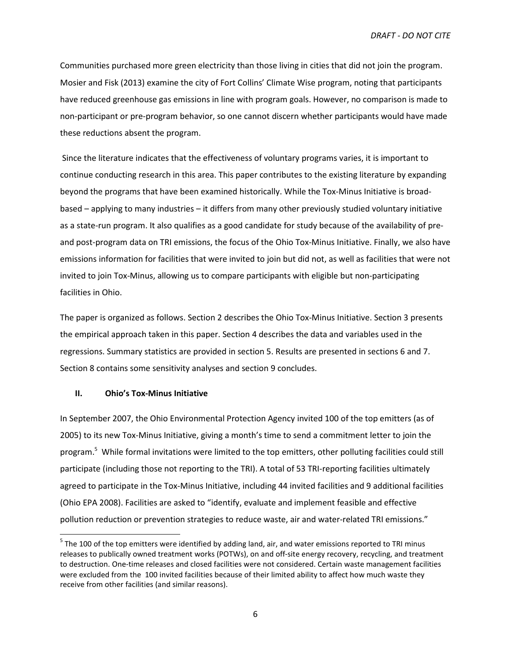Communities purchased more green electricity than those living in cities that did not join the program. Mosier and Fisk (2013) examine the city of Fort Collins' Climate Wise program, noting that participants have reduced greenhouse gas emissions in line with program goals. However, no comparison is made to non-participant or pre-program behavior, so one cannot discern whether participants would have made these reductions absent the program.

 Since the literature indicates that the effectiveness of voluntary programs varies, it is important to continue conducting research in this area. This paper contributes to the existing literature by expanding beyond the programs that have been examined historically. While the Tox-Minus Initiative is broadbased – applying to many industries – it differs from many other previously studied voluntary initiative as a state-run program. It also qualifies as a good candidate for study because of the availability of preand post-program data on TRI emissions, the focus of the Ohio Tox-Minus Initiative. Finally, we also have emissions information for facilities that were invited to join but did not, as well as facilities that were not invited to join Tox-Minus, allowing us to compare participants with eligible but non-participating facilities in Ohio.

The paper is organized as follows. Section 2 describes the Ohio Tox-Minus Initiative. Section 3 presents the empirical approach taken in this paper. Section 4 describes the data and variables used in the regressions. Summary statistics are provided in section 5. Results are presented in sections 6 and 7. Section 8 contains some sensitivity analyses and section 9 concludes.

## **II. Ohio's Tox-Minus Initiative**

-

In September 2007, the Ohio Environmental Protection Agency invited 100 of the top emitters (as of 2005) to its new Tox-Minus Initiative, giving a month's time to send a commitment letter to join the program.<sup>5</sup> While formal invitations were limited to the top emitters, other polluting facilities could still participate (including those not reporting to the TRI). A total of 53 TRI-reporting facilities ultimately agreed to participate in the Tox-Minus Initiative, including 44 invited facilities and 9 additional facilities (Ohio EPA 2008). Facilities are asked to "identify, evaluate and implement feasible and effective pollution reduction or prevention strategies to reduce waste, air and water-related TRI emissions."

<sup>&</sup>lt;sup>5</sup> The 100 of the top emitters were identified by adding land, air, and water emissions reported to TRI minus releases to publically owned treatment works (POTWs), on and off-site energy recovery, recycling, and treatment to destruction. One-time releases and closed facilities were not considered. Certain waste management facilities were excluded from the 100 invited facilities because of their limited ability to affect how much waste they receive from other facilities (and similar reasons).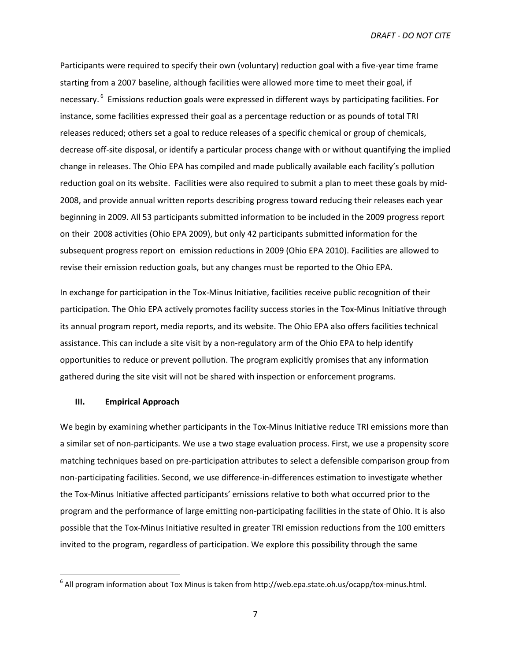Participants were required to specify their own (voluntary) reduction goal with a five-year time frame starting from a 2007 baseline, although facilities were allowed more time to meet their goal, if necessary.<sup>6</sup> Emissions reduction goals were expressed in different ways by participating facilities. For instance, some facilities expressed their goal as a percentage reduction or as pounds of total TRI releases reduced; others set a goal to reduce releases of a specific chemical or group of chemicals, decrease off-site disposal, or identify a particular process change with or without quantifying the implied change in releases. The Ohio EPA has compiled and made publically available each facility's pollution reduction goal on its website. Facilities were also required to submit a plan to meet these goals by mid-2008, and provide annual written reports describing progress toward reducing their releases each year beginning in 2009. All 53 participants submitted information to be included in the 2009 progress report on their 2008 activities (Ohio EPA 2009), but only 42 participants submitted information for the subsequent progress report on emission reductions in 2009 (Ohio EPA 2010). Facilities are allowed to revise their emission reduction goals, but any changes must be reported to the Ohio EPA.

In exchange for participation in the Tox-Minus Initiative, facilities receive public recognition of their participation. The Ohio EPA actively promotes facility success stories in the Tox-Minus Initiative through its annual program report, media reports, and its website. The Ohio EPA also offers facilities technical assistance. This can include a site visit by a non-regulatory arm of the Ohio EPA to help identify opportunities to reduce or prevent pollution. The program explicitly promises that any information gathered during the site visit will not be shared with inspection or enforcement programs.

## **III. Empirical Approach**

We begin by examining whether participants in the Tox-Minus Initiative reduce TRI emissions more than a similar set of non-participants. We use a two stage evaluation process. First, we use a propensity score matching techniques based on pre-participation attributes to select a defensible comparison group from non-participating facilities. Second, we use difference-in-differences estimation to investigate whether the Tox-Minus Initiative affected participants' emissions relative to both what occurred prior to the program and the performance of large emitting non-participating facilities in the state of Ohio. It is also possible that the Tox-Minus Initiative resulted in greater TRI emission reductions from the 100 emitters invited to the program, regardless of participation. We explore this possibility through the same

 6 All program information about Tox Minus is taken from http://web.epa.state.oh.us/ocapp/tox-minus.html.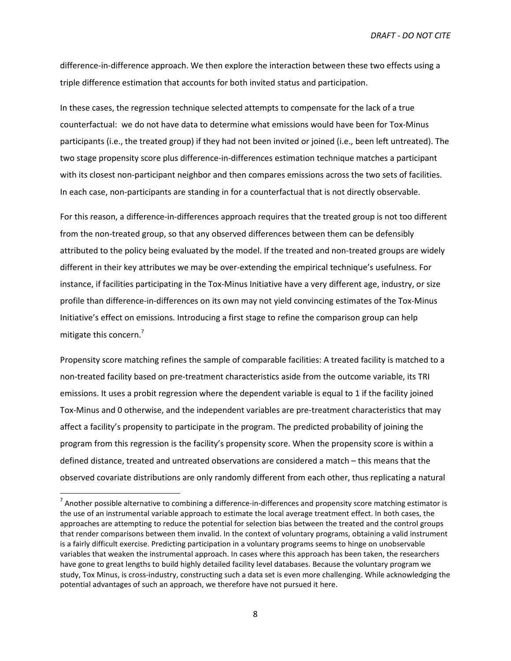difference-in-difference approach. We then explore the interaction between these two effects using a triple difference estimation that accounts for both invited status and participation.

In these cases, the regression technique selected attempts to compensate for the lack of a true counterfactual: we do not have data to determine what emissions would have been for Tox-Minus participants (i.e., the treated group) if they had not been invited or joined (i.e., been left untreated). The two stage propensity score plus difference-in-differences estimation technique matches a participant with its closest non-participant neighbor and then compares emissions across the two sets of facilities. In each case, non-participants are standing in for a counterfactual that is not directly observable.

For this reason, a difference-in-differences approach requires that the treated group is not too different from the non-treated group, so that any observed differences between them can be defensibly attributed to the policy being evaluated by the model. If the treated and non-treated groups are widely different in their key attributes we may be over-extending the empirical technique's usefulness. For instance, if facilities participating in the Tox-Minus Initiative have a very different age, industry, or size profile than difference-in-differences on its own may not yield convincing estimates of the Tox-Minus Initiative's effect on emissions. Introducing a first stage to refine the comparison group can help mitigate this concern.<sup>7</sup>

Propensity score matching refines the sample of comparable facilities: A treated facility is matched to a non-treated facility based on pre-treatment characteristics aside from the outcome variable, its TRI emissions. It uses a probit regression where the dependent variable is equal to 1 if the facility joined Tox-Minus and 0 otherwise, and the independent variables are pre-treatment characteristics that may affect a facility's propensity to participate in the program. The predicted probability of joining the program from this regression is the facility's propensity score. When the propensity score is within a defined distance, treated and untreated observations are considered a match – this means that the observed covariate distributions are only randomly different from each other, thus replicating a natural

<u>.</u>

 $^7$  Another possible alternative to combining a difference-in-differences and propensity score matching estimator is the use of an instrumental variable approach to estimate the local average treatment effect. In both cases, the approaches are attempting to reduce the potential for selection bias between the treated and the control groups that render comparisons between them invalid. In the context of voluntary programs, obtaining a valid instrument is a fairly difficult exercise. Predicting participation in a voluntary programs seems to hinge on unobservable variables that weaken the instrumental approach. In cases where this approach has been taken, the researchers have gone to great lengths to build highly detailed facility level databases. Because the voluntary program we study, Tox Minus, is cross-industry, constructing such a data set is even more challenging. While acknowledging the potential advantages of such an approach, we therefore have not pursued it here.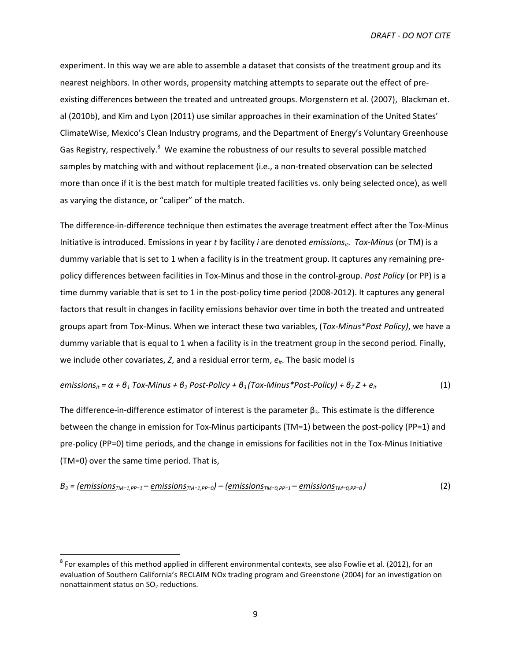experiment. In this way we are able to assemble a dataset that consists of the treatment group and its nearest neighbors. In other words, propensity matching attempts to separate out the effect of preexisting differences between the treated and untreated groups. Morgenstern et al. (2007), Blackman et. al (2010b), and Kim and Lyon (2011) use similar approaches in their examination of the United States' ClimateWise, Mexico's Clean Industry programs, and the Department of Energy's Voluntary Greenhouse Gas Registry, respectively.<sup>8</sup> We examine the robustness of our results to several possible matched samples by matching with and without replacement (i.e., a non-treated observation can be selected more than once if it is the best match for multiple treated facilities vs. only being selected once), as well as varying the distance, or "caliper" of the match.

The difference-in-difference technique then estimates the average treatment effect after the Tox-Minus Initiative is introduced. Emissions in year *t* by facility *i* are denoted *emissionsit*. *Tox-Minus* (or TM) is a dummy variable that is set to 1 when a facility is in the treatment group. It captures any remaining prepolicy differences between facilities in Tox-Minus and those in the control-group. *Post Policy* (or PP) is a time dummy variable that is set to 1 in the post-policy time period (2008-2012). It captures any general factors that result in changes in facility emissions behavior over time in both the treated and untreated groups apart from Tox-Minus. When we interact these two variables, (*Tox-Minus\*Post Policy)*, we have a dummy variable that is equal to 1 when a facility is in the treatment group in the second period*.* Finally, we include other covariates, *Z*, and a residual error term, *eit*. The basic model is

# *emissions<sub>it</sub>* =  $\alpha$  +  $\beta$ <sub>1</sub> Tox-Minus +  $\beta$ <sub>2</sub> Post-Policy +  $\beta$ <sub>3</sub> (Tox-Minus\*Post-Policy) +  $\beta$ <sub>Z</sub> Z +  $e$ <sub>it</sub> (1)

The difference-in-difference estimator of interest is the parameter  $\beta_3$ . This estimate is the difference between the change in emission for Tox-Minus participants (TM=1) between the post-policy (PP=1) and pre-policy (PP=0) time periods, and the change in emissions for facilities not in the Tox-Minus Initiative (TM=0) over the same time period. That is,

$$
B_3 = \left(\underbrace{emissions_{TM=1, PP=1} - \underbrace{emissions_{TM=1, PP=0}} - \left(\underbrace{emissions_{TM=0, PP=1} - \underbrace{emissions_{TM=0, PP=0}}\right)\right)
$$
 (2)

-

 $^8$  For examples of this method applied in different environmental contexts, see also Fowlie et al. (2012), for an evaluation of Southern California's RECLAIM NOx trading program and Greenstone (2004) for an investigation on nonattainment status on SO<sub>2</sub> reductions.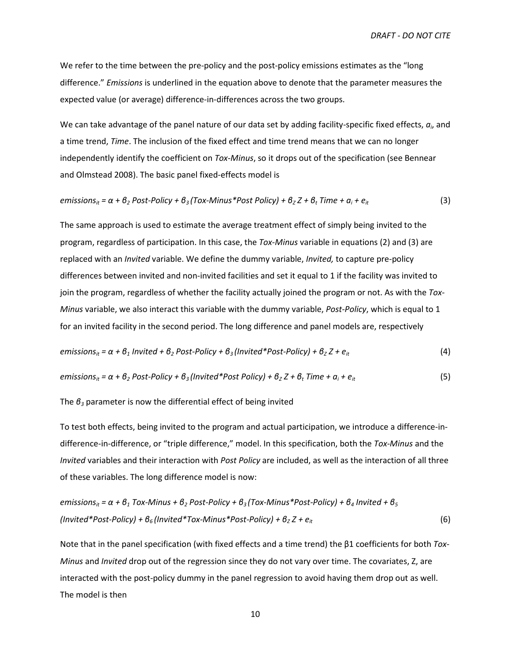We refer to the time between the pre-policy and the post-policy emissions estimates as the "long" difference." *Emissions* is underlined in the equation above to denote that the parameter measures the expected value (or average) difference-in-differences across the two groups.

We can take advantage of the panel nature of our data set by adding facility-specific fixed effects,  $a_i$ , and a time trend, *Time*. The inclusion of the fixed effect and time trend means that we can no longer independently identify the coefficient on *Tox-Minus*, so it drops out of the specification (see Bennear and Olmstead 2008). The basic panel fixed-effects model is

$$
emissions_{it} = \alpha + \beta_2 Post-Policy + \beta_3 (Tox-Minus*Post Policy) + \beta_2 Z + \beta_t Time + \alpha_i + e_{it}
$$
 (3)

The same approach is used to estimate the average treatment effect of simply being invited to the program, regardless of participation. In this case, the *Tox-Minus* variable in equations (2) and (3) are replaced with an *Invited* variable. We define the dummy variable, *Invited,* to capture pre-policy differences between invited and non-invited facilities and set it equal to 1 if the facility was invited to join the program, regardless of whether the facility actually joined the program or not. As with the *Tox-Minus* variable, we also interact this variable with the dummy variable, *Post-Policy*, which is equal to 1 for an invited facility in the second period. The long difference and panel models are, respectively

$$
emissions_{it} = \alpha + \beta_1 \text{ Invited} + \beta_2 \text{ Post-Policy} + \beta_3 \text{ (Invited*Post-Policy)} + \beta_2 Z + e_{it}
$$
 (4)

emissions<sub>it</sub> = 
$$
\alpha + \beta_2
$$
 Post-Policy +  $\beta_3$  (Invited\*Post Policy) +  $\beta_2 Z + \beta_t$  Time +  $\alpha_i + e_{it}$  (5)

The *β3* parameter is now the differential effect of being invited

To test both effects, being invited to the program and actual participation, we introduce a difference-indifference-in-difference, or "triple difference," model. In this specification, both the *Tox-Minus* and the *Invited* variables and their interaction with *Post Policy* are included, as well as the interaction of all three of these variables. The long difference model is now:

$$
emissions_{it} = \alpha + \beta_1 \text{ Tox-Minus} + \beta_2 \text{Post-Policy} + \beta_3 (\text{Tox-Minus*Post-Policy}) + \beta_4 \text{ Invited} + \beta_5
$$
\n
$$
\text{(Invited*Post-Policy)} + \beta_6 \text{(Invited*Tox-Minus*Post-Policy)} + \beta_7 Z + e_{it}
$$
\n
$$
\tag{6}
$$

Note that in the panel specification (with fixed effects and a time trend) the β1 coefficients for both *Tox-Minus* and *Invited* drop out of the regression since they do not vary over time. The covariates, Z, are interacted with the post-policy dummy in the panel regression to avoid having them drop out as well. The model is then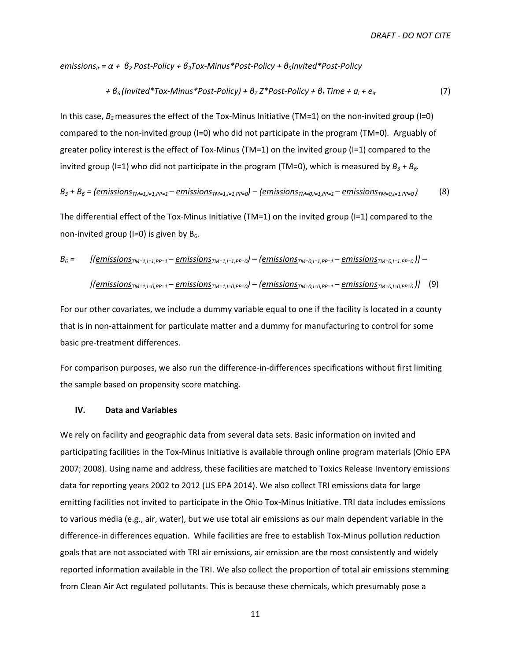*emissionsit = α + β2 Post-Policy + β3Tox-Minus\*Post-Policy + β5Invited\*Post-Policy* 

+ 
$$
\theta_6
$$
 (Invited\*Tox-Minus\*Post-Policy) +  $\theta_7$  Z\*Post-Policy +  $\theta_t$  Time +  $\alpha_i$  +  $e_{it}$  (7)

In this case, *Β3* measures the effect of the Tox-Minus Initiative (TM=1) on the non-invited group (I=0) compared to the non-invited group (I=0) who did not participate in the program (TM=0)*.* Arguably of greater policy interest is the effect of Tox-Minus ( $TM=1$ ) on the invited group ( $I=1$ ) compared to the invited group (I=1) who did not participate in the program (TM=0), which is measured by *Β3 + B6.* 

$$
B_3 + B_6 = (emissionsTM=1,1=1,PP=1}-emissionsTM=1,1=1,PP=0}) - (emissionsTM=0,1=1,PP=1}-emissionsTM=0,1=1,PP=0})
$$
(8)

The differential effect of the Tox-Minus Initiative (TM=1) on the invited group (I=1) compared to the non-invited group (I=0) is given by  $B_6$ .

$$
B_6 = \left[ \left( \underline{emissions}_{TM=1,1=1,PP=1} - \underline{emissions}_{TM=1,1=1,PP=0} \right) - \left( \underline{emissions}_{TM=0,1=1,PP=1} - \underline{emissions}_{TM=0,1=1,PP=0} \right) \right] -
$$

$$
[(emissionsTM=1,1=0,PP=1}-emissionTM=1,1=0,PP=0) - (emissionTM=0,1=0,PP=1}-emissionTM=0,1=0,PP=0)] (9)
$$

For our other covariates, we include a dummy variable equal to one if the facility is located in a county that is in non-attainment for particulate matter and a dummy for manufacturing to control for some basic pre-treatment differences.

For comparison purposes, we also run the difference-in-differences specifications without first limiting the sample based on propensity score matching.

### **IV. Data and Variables**

We rely on facility and geographic data from several data sets. Basic information on invited and participating facilities in the Tox-Minus Initiative is available through online program materials (Ohio EPA 2007; 2008). Using name and address, these facilities are matched to Toxics Release Inventory emissions data for reporting years 2002 to 2012 (US EPA 2014). We also collect TRI emissions data for large emitting facilities not invited to participate in the Ohio Tox-Minus Initiative. TRI data includes emissions to various media (e.g., air, water), but we use total air emissions as our main dependent variable in the difference-in differences equation. While facilities are free to establish Tox-Minus pollution reduction goals that are not associated with TRI air emissions, air emission are the most consistently and widely reported information available in the TRI. We also collect the proportion of total air emissions stemming from Clean Air Act regulated pollutants. This is because these chemicals, which presumably pose a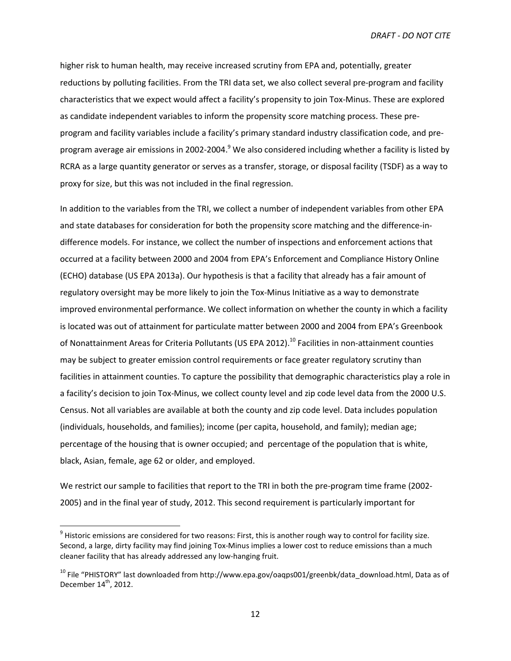higher risk to human health, may receive increased scrutiny from EPA and, potentially, greater reductions by polluting facilities. From the TRI data set, we also collect several pre-program and facility characteristics that we expect would affect a facility's propensity to join Tox-Minus. These are explored as candidate independent variables to inform the propensity score matching process. These preprogram and facility variables include a facility's primary standard industry classification code, and preprogram average air emissions in 2002-2004.<sup>9</sup> We also considered including whether a facility is listed by RCRA as a large quantity generator or serves as a transfer, storage, or disposal facility (TSDF) as a way to proxy for size, but this was not included in the final regression.

In addition to the variables from the TRI, we collect a number of independent variables from other EPA and state databases for consideration for both the propensity score matching and the difference-indifference models. For instance, we collect the number of inspections and enforcement actions that occurred at a facility between 2000 and 2004 from EPA's Enforcement and Compliance History Online (ECHO) database (US EPA 2013a). Our hypothesis is that a facility that already has a fair amount of regulatory oversight may be more likely to join the Tox-Minus Initiative as a way to demonstrate improved environmental performance. We collect information on whether the county in which a facility is located was out of attainment for particulate matter between 2000 and 2004 from EPA's Greenbook of Nonattainment Areas for Criteria Pollutants (US EPA 2012).<sup>10</sup> Facilities in non-attainment counties may be subject to greater emission control requirements or face greater regulatory scrutiny than facilities in attainment counties. To capture the possibility that demographic characteristics play a role in a facility's decision to join Tox-Minus, we collect county level and zip code level data from the 2000 U.S. Census. Not all variables are available at both the county and zip code level. Data includes population (individuals, households, and families); income (per capita, household, and family); median age; percentage of the housing that is owner occupied; and percentage of the population that is white, black, Asian, female, age 62 or older, and employed.

We restrict our sample to facilities that report to the TRI in both the pre-program time frame (2002- 2005) and in the final year of study, 2012. This second requirement is particularly important for

-

 $9$  Historic emissions are considered for two reasons: First, this is another rough way to control for facility size. Second, a large, dirty facility may find joining Tox-Minus implies a lower cost to reduce emissions than a much cleaner facility that has already addressed any low-hanging fruit.

<sup>&</sup>lt;sup>10</sup> File "PHISTORY" last downloaded from http://www.epa.gov/oaqps001/greenbk/data\_download.html, Data as of December  $14<sup>th</sup>$ , 2012.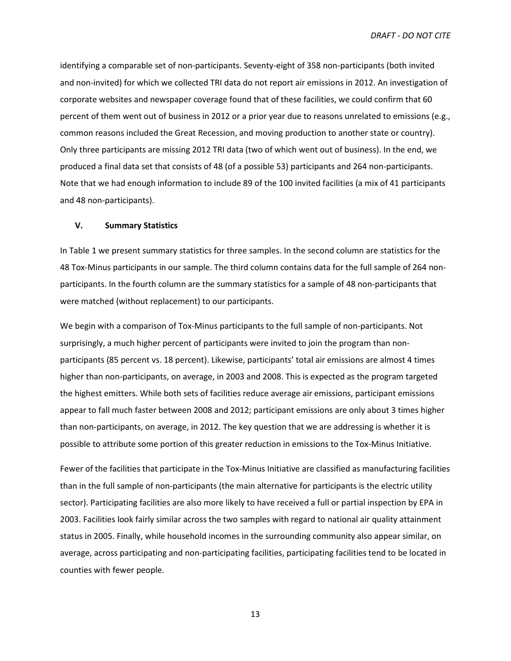identifying a comparable set of non-participants. Seventy-eight of 358 non-participants (both invited and non-invited) for which we collected TRI data do not report air emissions in 2012. An investigation of corporate websites and newspaper coverage found that of these facilities, we could confirm that 60 percent of them went out of business in 2012 or a prior year due to reasons unrelated to emissions (e.g., common reasons included the Great Recession, and moving production to another state or country). Only three participants are missing 2012 TRI data (two of which went out of business). In the end, we produced a final data set that consists of 48 (of a possible 53) participants and 264 non-participants. Note that we had enough information to include 89 of the 100 invited facilities (a mix of 41 participants and 48 non-participants).

### **V. Summary Statistics**

In Table 1 we present summary statistics for three samples. In the second column are statistics for the 48 Tox-Minus participants in our sample. The third column contains data for the full sample of 264 nonparticipants. In the fourth column are the summary statistics for a sample of 48 non-participants that were matched (without replacement) to our participants.

We begin with a comparison of Tox-Minus participants to the full sample of non-participants. Not surprisingly, a much higher percent of participants were invited to join the program than nonparticipants (85 percent vs. 18 percent). Likewise, participants' total air emissions are almost 4 times higher than non-participants, on average, in 2003 and 2008. This is expected as the program targeted the highest emitters. While both sets of facilities reduce average air emissions, participant emissions appear to fall much faster between 2008 and 2012; participant emissions are only about 3 times higher than non-participants, on average, in 2012. The key question that we are addressing is whether it is possible to attribute some portion of this greater reduction in emissions to the Tox-Minus Initiative.

Fewer of the facilities that participate in the Tox-Minus Initiative are classified as manufacturing facilities than in the full sample of non-participants (the main alternative for participants is the electric utility sector). Participating facilities are also more likely to have received a full or partial inspection by EPA in 2003. Facilities look fairly similar across the two samples with regard to national air quality attainment status in 2005. Finally, while household incomes in the surrounding community also appear similar, on average, across participating and non-participating facilities, participating facilities tend to be located in counties with fewer people.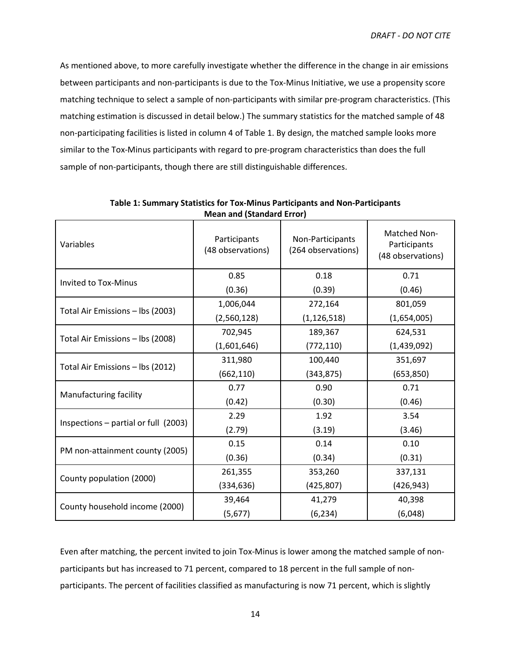As mentioned above, to more carefully investigate whether the difference in the change in air emissions between participants and non-participants is due to the Tox-Minus Initiative, we use a propensity score matching technique to select a sample of non-participants with similar pre-program characteristics. (This matching estimation is discussed in detail below.) The summary statistics for the matched sample of 48 non-participating facilities is listed in column 4 of Table 1. By design, the matched sample looks more similar to the Tox-Minus participants with regard to pre-program characteristics than does the full sample of non-participants, though there are still distinguishable differences.

|                                        | $1$ can ana (bianaara Enor $\prime$ |                                        |                                                          |
|----------------------------------------|-------------------------------------|----------------------------------------|----------------------------------------------------------|
| Variables                              | Participants<br>(48 observations)   | Non-Participants<br>(264 observations) | <b>Matched Non-</b><br>Participants<br>(48 observations) |
| <b>Invited to Tox-Minus</b>            | 0.85                                | 0.18                                   | 0.71                                                     |
|                                        | (0.36)                              | (0.39)                                 | (0.46)                                                   |
|                                        | 1,006,044                           | 272,164                                | 801,059                                                  |
| Total Air Emissions - lbs (2003)       | (2,560,128)                         | (1, 126, 518)                          | (1,654,005)                                              |
|                                        | 702,945                             | 189,367                                | 624,531                                                  |
| Total Air Emissions - lbs (2008)       | (1,601,646)                         | (772, 110)                             | (1,439,092)                                              |
|                                        | 311,980<br>100,440                  |                                        | 351,697                                                  |
| Total Air Emissions - lbs (2012)       | (662, 110)                          | (343, 875)                             | (653, 850)                                               |
|                                        | 0.77                                | 0.90                                   | 0.71                                                     |
| Manufacturing facility                 | (0.42)                              | (0.30)                                 | (0.46)                                                   |
|                                        | 2.29                                | 1.92                                   | 3.54                                                     |
| Inspections $-$ partial or full (2003) | (2.79)                              | (3.19)                                 | (3.46)                                                   |
|                                        | 0.15                                | 0.14                                   | 0.10                                                     |
| PM non-attainment county (2005)        | (0.36)                              | (0.34)                                 | (0.31)                                                   |
|                                        | 261,355                             | 353,260                                | 337,131                                                  |
| County population (2000)               | (334, 636)                          | (425, 807)                             | (426, 943)                                               |
|                                        | 39,464                              | 41,279                                 | 40,398                                                   |
| County household income (2000)         | (5, 677)                            | (6, 234)                               | (6,048)                                                  |

**Table 1: Summary Statistics for Tox-Minus Participants and Non-Participants Mean and (Standard Error)** 

Even after matching, the percent invited to join Tox-Minus is lower among the matched sample of nonparticipants but has increased to 71 percent, compared to 18 percent in the full sample of nonparticipants. The percent of facilities classified as manufacturing is now 71 percent, which is slightly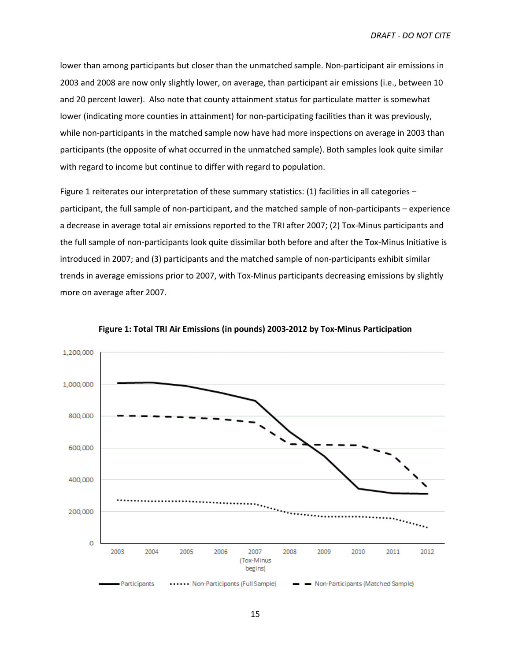lower than among participants but closer than the unmatched sample. Non-participant air emissions in 2003 and 2008 are now only slightly lower, on average, than participant air emissions (i.e., between 10 and 20 percent lower). Also note that county attainment status for particulate matter is somewhat lower (indicating more counties in attainment) for non-participating facilities than it was previously, while non-participants in the matched sample now have had more inspections on average in 2003 than participants (the opposite of what occurred in the unmatched sample). Both samples look quite similar with regard to income but continue to differ with regard to population.

Figure 1 reiterates our interpretation of these summary statistics: (1) facilities in all categories – participant, the full sample of non-participant, and the matched sample of non-participants – experience a decrease in average total air emissions reported to the TRI after 2007; (2) Tox-Minus participants and the full sample of non-participants look quite dissimilar both before and after the Tox-Minus Initiative is introduced in 2007; and (3) participants and the matched sample of non-participants exhibit similar trends in average emissions prior to 2007, with Tox-Minus participants decreasing emissions by slightly more on average after 2007.



**Figure 1: Total TRI Air Emissions (in pounds) 2003-2012 by Tox-Minus Participation**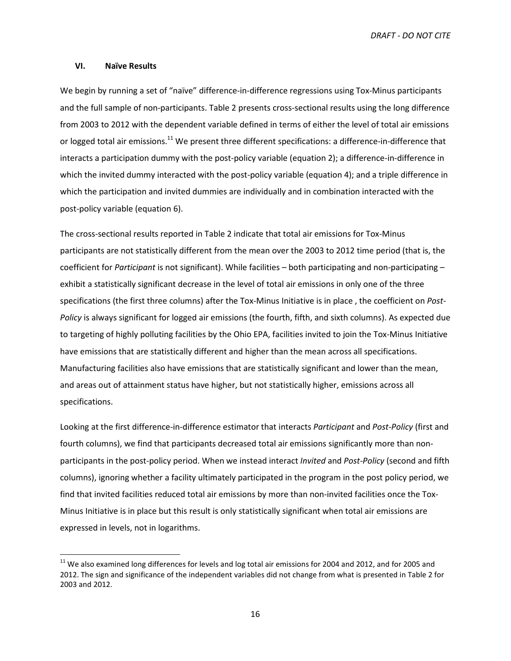### **VI. Naïve Results**

l

We begin by running a set of "naïve" difference-in-difference regressions using Tox-Minus participants and the full sample of non-participants. Table 2 presents cross-sectional results using the long difference from 2003 to 2012 with the dependent variable defined in terms of either the level of total air emissions or logged total air emissions.<sup>11</sup> We present three different specifications: a difference-in-difference that interacts a participation dummy with the post-policy variable (equation 2); a difference-in-difference in which the invited dummy interacted with the post-policy variable (equation 4); and a triple difference in which the participation and invited dummies are individually and in combination interacted with the post-policy variable (equation 6).

The cross-sectional results reported in Table 2 indicate that total air emissions for Tox-Minus participants are not statistically different from the mean over the 2003 to 2012 time period (that is, the coefficient for *Participant* is not significant). While facilities – both participating and non-participating – exhibit a statistically significant decrease in the level of total air emissions in only one of the three specifications (the first three columns) after the Tox-Minus Initiative is in place , the coefficient on *Post-Policy* is always significant for logged air emissions (the fourth, fifth, and sixth columns). As expected due to targeting of highly polluting facilities by the Ohio EPA, facilities invited to join the Tox-Minus Initiative have emissions that are statistically different and higher than the mean across all specifications. Manufacturing facilities also have emissions that are statistically significant and lower than the mean, and areas out of attainment status have higher, but not statistically higher, emissions across all specifications.

Looking at the first difference-in-difference estimator that interacts *Participant* and *Post-Policy* (first and fourth columns), we find that participants decreased total air emissions significantly more than nonparticipants in the post-policy period. When we instead interact *Invited* and *Post-Policy* (second and fifth columns), ignoring whether a facility ultimately participated in the program in the post policy period, we find that invited facilities reduced total air emissions by more than non-invited facilities once the Tox-Minus Initiative is in place but this result is only statistically significant when total air emissions are expressed in levels, not in logarithms.

<sup>&</sup>lt;sup>11</sup> We also examined long differences for levels and log total air emissions for 2004 and 2012, and for 2005 and 2012. The sign and significance of the independent variables did not change from what is presented in Table 2 for 2003 and 2012.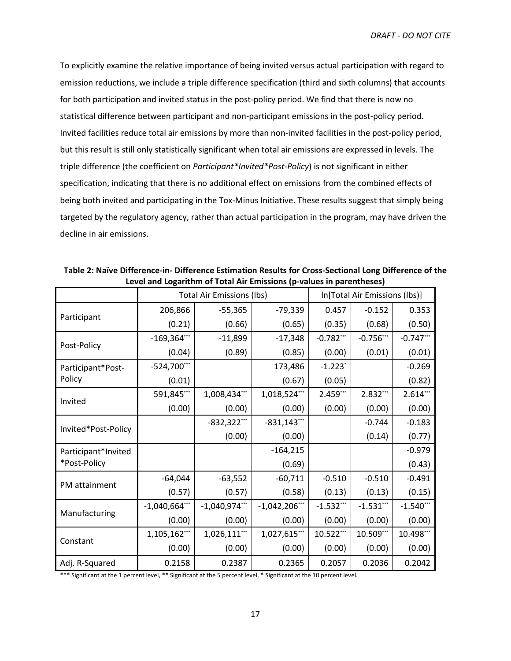To explicitly examine the relative importance of being invited versus actual participation with regard to emission reductions, we include a triple difference specification (third and sixth columns) that accounts for both participation and invited status in the post-policy period. We find that there is now no statistical difference between participant and non-participant emissions in the post-policy period. Invited facilities reduce total air emissions by more than non-invited facilities in the post-policy period, but this result is still only statistically significant when total air emissions are expressed in levels. The triple difference (the coefficient on *Participant\*Invited\*Post-Policy*) is not significant in either specification, indicating that there is no additional effect on emissions from the combined effects of being both invited and participating in the Tox-Minus Initiative. These results suggest that simply being targeted by the regulatory agency, rather than actual participation in the program, may have driven the decline in air emissions.

|                     | <b>Total Air Emissions (lbs)</b> |                  |                  | In[Total Air Emissions (lbs)] |              |              |
|---------------------|----------------------------------|------------------|------------------|-------------------------------|--------------|--------------|
| Participant         | 206,866                          | $-55,365$        | $-79,339$        | 0.457                         | $-0.152$     | 0.353        |
|                     | (0.21)                           | (0.66)           | (0.65)           | (0.35)                        | (0.68)       | (0.50)       |
|                     | $-169,364$ ***                   | $-11,899$        | $-17,348$        | $-0.782***$                   | $-0.756***$  | $-0.747$ *** |
| Post-Policy         | (0.04)                           | (0.89)           | (0.85)           | (0.00)                        | (0.01)       | (0.01)       |
| Participant*Post-   | $-524,700***$                    |                  | 173,486          | $-1.223$ <sup>*</sup>         |              | $-0.269$     |
| Policy              | (0.01)                           |                  | (0.67)           | (0.05)                        |              | (0.82)       |
|                     | 591,845***                       | 1,008,434***     | 1,018,524***     | 2.459***                      | 2.832***     | 2.614***     |
| Invited             | (0.00)                           | (0.00)           | (0.00)           | (0.00)                        | (0.00)       | (0.00)       |
|                     |                                  | $-832,322***$    | $-831,143"$      |                               | $-0.744$     | $-0.183$     |
| Invited*Post-Policy |                                  | (0.00)           | (0.00)           |                               | (0.14)       | (0.77)       |
| Participant*Invited |                                  |                  | $-164,215$       |                               |              | $-0.979$     |
| *Post-Policy        |                                  |                  | (0.69)           |                               |              | (0.43)       |
| PM attainment       | $-64,044$                        | $-63,552$        | $-60,711$        | $-0.510$                      | $-0.510$     | $-0.491$     |
|                     | (0.57)                           | (0.57)           | (0.58)           | (0.13)                        | (0.13)       | (0.15)       |
|                     | $-1,040,664$ ***                 | $-1,040,974$ *** | $-1,042,206$ *** | $-1.532$ ***                  | $-1.531$ *** | $-1.540***$  |
| Manufacturing       | (0.00)                           | (0.00)           | (0.00)           | (0.00)                        | (0.00)       | (0.00)       |
| Constant            | 1,105,162***                     | 1,026,111***     | 1,027,615***     | 10.522***                     | 10.509***    | 10.498***    |
|                     | (0.00)                           | (0.00)           | (0.00)           | (0.00)                        | (0.00)       | (0.00)       |
| Adj. R-Squared      | 0.2158                           | 0.2387           | 0.2365           | 0.2057                        | 0.2036       | 0.2042       |

**Table 2: Naïve Difference-in- Difference Estimation Results for Cross-Sectional Long Difference of the Level and Logarithm of Total Air Emissions (p-values in parentheses)**

\*\*\* Significant at the 1 percent level, \*\* Significant at the 5 percent level, \* Significant at the 10 percent level.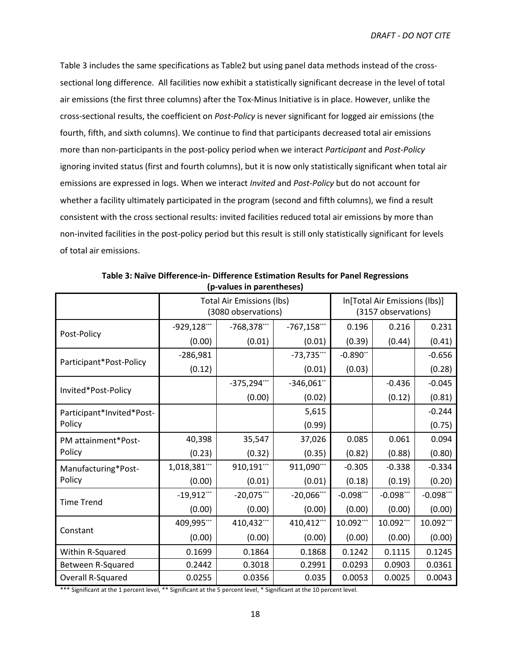Table 3 includes the same specifications as Table2 but using panel data methods instead of the crosssectional long difference. All facilities now exhibit a statistically significant decrease in the level of total air emissions (the first three columns) after the Tox-Minus Initiative is in place. However, unlike the cross-sectional results, the coefficient on *Post-Policy* is never significant for logged air emissions (the fourth, fifth, and sixth columns). We continue to find that participants decreased total air emissions more than non-participants in the post-policy period when we interact *Participant* and *Post-Policy*  ignoring invited status (first and fourth columns), but it is now only statistically significant when total air emissions are expressed in logs. When we interact *Invited* and *Post-Policy* but do not account for whether a facility ultimately participated in the program (second and fifth columns), we find a result consistent with the cross sectional results: invited facilities reduced total air emissions by more than non-invited facilities in the post-policy period but this result is still only statistically significant for levels of total air emissions.

|                           | <b>Total Air Emissions (lbs)</b><br>(3080 observations) |               |               | In[Total Air Emissions (lbs)]<br>(3157 observations) |              |             |
|---------------------------|---------------------------------------------------------|---------------|---------------|------------------------------------------------------|--------------|-------------|
| Post-Policy               | $-929,128$ ***                                          | $-768,378***$ | $-767,158***$ | 0.196                                                | 0.216        | 0.231       |
|                           | (0.00)                                                  | (0.01)        | (0.01)        | (0.39)                                               | (0.44)       | (0.41)      |
|                           | $-286,981$                                              |               | $-73,735***$  | $-0.890**$                                           |              | $-0.656$    |
| Participant*Post-Policy   | (0.12)                                                  |               | (0.01)        | (0.03)                                               |              | (0.28)      |
|                           |                                                         | $-375,294***$ | $-346,061"$   |                                                      | $-0.436$     | $-0.045$    |
| Invited*Post-Policy       |                                                         | (0.00)        | (0.02)        |                                                      | (0.12)       | (0.81)      |
| Participant*Invited*Post- |                                                         |               | 5,615         |                                                      |              | $-0.244$    |
| Policy                    |                                                         |               | (0.99)        |                                                      |              | (0.75)      |
| PM attainment*Post-       | 40,398                                                  | 35,547        | 37,026        | 0.085                                                | 0.061        | 0.094       |
| Policy                    | (0.23)                                                  | (0.32)        | (0.35)        | (0.82)                                               | (0.88)       | (0.80)      |
| Manufacturing*Post-       | 1,018,381***                                            | 910,191**     | 911,090***    | $-0.305$                                             | $-0.338$     | $-0.334$    |
| Policy                    | (0.00)                                                  | (0.01)        | (0.01)        | (0.18)                                               | (0.19)       | (0.20)      |
| <b>Time Trend</b>         | $-19,912***$                                            | $-20,075***$  | $-20,066$ **  | $-0.098***$                                          | $-0.098$ *** | $-0.098***$ |
|                           | (0.00)                                                  | (0.00)        | (0.00)        | (0.00)                                               | (0.00)       | (0.00)      |
| Constant                  | 409,995***                                              | 410,432***    | 410,412***    | 10.092***                                            | 10.092***    | 10.092***   |
|                           | (0.00)                                                  | (0.00)        | (0.00)        | (0.00)                                               | (0.00)       | (0.00)      |
| Within R-Squared          | 0.1699                                                  | 0.1864        | 0.1868        | 0.1242                                               | 0.1115       | 0.1245      |
| Between R-Squared         | 0.2442                                                  | 0.3018        | 0.2991        | 0.0293                                               | 0.0903       | 0.0361      |
| <b>Overall R-Squared</b>  | 0.0255                                                  | 0.0356        | 0.035         | 0.0053                                               | 0.0025       | 0.0043      |

**Table 3: Naïve Difference-in- Difference Estimation Results for Panel Regressions (p-values in parentheses)**

\*\*\* Significant at the 1 percent level, \*\* Significant at the 5 percent level, \* Significant at the 10 percent level.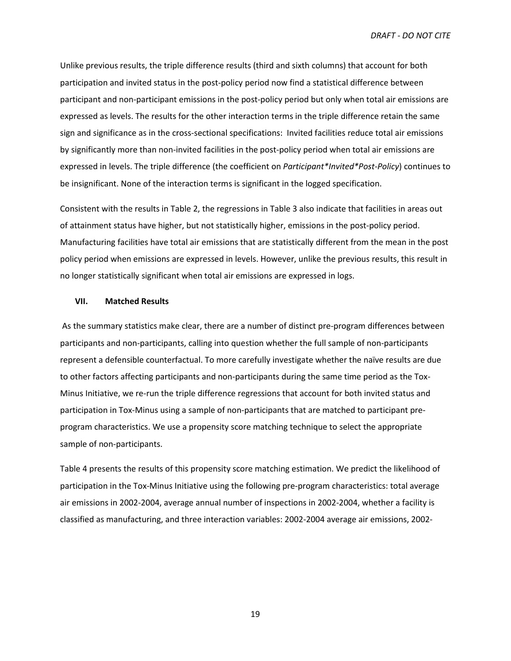Unlike previous results, the triple difference results (third and sixth columns) that account for both participation and invited status in the post-policy period now find a statistical difference between participant and non-participant emissions in the post-policy period but only when total air emissions are expressed as levels. The results for the other interaction terms in the triple difference retain the same sign and significance as in the cross-sectional specifications: Invited facilities reduce total air emissions by significantly more than non-invited facilities in the post-policy period when total air emissions are expressed in levels. The triple difference (the coefficient on *Participant\*Invited\*Post-Policy*) continues to be insignificant. None of the interaction terms is significant in the logged specification.

Consistent with the results in Table 2, the regressions in Table 3 also indicate that facilities in areas out of attainment status have higher, but not statistically higher, emissions in the post-policy period. Manufacturing facilities have total air emissions that are statistically different from the mean in the post policy period when emissions are expressed in levels. However, unlike the previous results, this result in no longer statistically significant when total air emissions are expressed in logs.

#### **VII. Matched Results**

 As the summary statistics make clear, there are a number of distinct pre-program differences between participants and non-participants, calling into question whether the full sample of non-participants represent a defensible counterfactual. To more carefully investigate whether the naïve results are due to other factors affecting participants and non-participants during the same time period as the Tox-Minus Initiative, we re-run the triple difference regressions that account for both invited status and participation in Tox-Minus using a sample of non-participants that are matched to participant preprogram characteristics. We use a propensity score matching technique to select the appropriate sample of non-participants.

Table 4 presents the results of this propensity score matching estimation. We predict the likelihood of participation in the Tox-Minus Initiative using the following pre-program characteristics: total average air emissions in 2002-2004, average annual number of inspections in 2002-2004, whether a facility is classified as manufacturing, and three interaction variables: 2002-2004 average air emissions, 2002-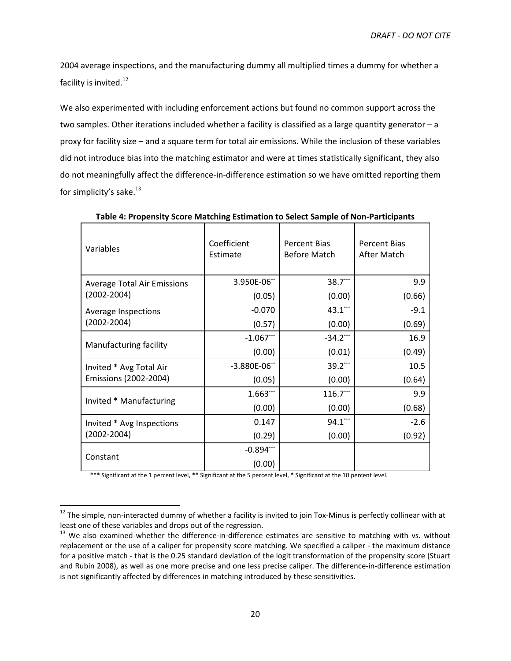2004 average inspections, and the manufacturing dummy all multiplied times a dummy for whether a facility is invited.<sup>12</sup>

We also experimented with including enforcement actions but found no common support across the two samples. Other iterations included whether a facility is classified as a large quantity generator – a proxy for facility size – and a square term for total air emissions. While the inclusion of these variables did not introduce bias into the matching estimator and were at times statistically significant, they also do not meaningfully affect the difference-in-difference estimation so we have omitted reporting them for simplicity's sake. $^{13}$ 

| Variables                          | Coefficient<br>Estimate | <b>Percent Bias</b><br><b>Before Match</b> | <b>Percent Bias</b><br>After Match |
|------------------------------------|-------------------------|--------------------------------------------|------------------------------------|
| <b>Average Total Air Emissions</b> | 3.950E-06**             | 38.7***                                    | 9.9                                |
| $(2002 - 2004)$                    | (0.05)                  | (0.00)                                     | (0.66)                             |
| Average Inspections                | $-0.070$                | $43.1$ ***                                 | $-9.1$                             |
| $(2002 - 2004)$                    | (0.57)                  | (0.00)                                     | (0.69)                             |
| Manufacturing facility             | $-1.067$ ***            | $-34.2$ ***                                | 16.9                               |
|                                    | (0.00)                  | (0.01)                                     | (0.49)                             |
| Invited * Avg Total Air            | $-3.880E - 06"$         | $39.2$ ***                                 | 10.5                               |
| Emissions (2002-2004)              | (0.05)                  | (0.00)                                     | (0.64)                             |
|                                    | 1.663***                | 116.7**                                    | 9.9                                |
| Invited * Manufacturing            | (0.00)                  | (0.00)                                     | (0.68)                             |
| Invited * Avg Inspections          | 0.147                   | $94.1***$                                  | $-2.6$                             |
| $(2002 - 2004)$                    | (0.29)                  | (0.00)                                     | (0.92)                             |
|                                    | $-0.894***$             |                                            |                                    |
| Constant                           | (0.00)                  |                                            |                                    |

**Table 4: Propensity Score Matching Estimation to Select Sample of Non-Participants** 

\*\*\* Significant at the 1 percent level, \*\* Significant at the 5 percent level, \* Significant at the 10 percent level.

-

<sup>&</sup>lt;sup>12</sup> The simple, non-interacted dummy of whether a facility is invited to join Tox-Minus is perfectly collinear with at least one of these variables and drops out of the regression.

<sup>&</sup>lt;sup>13</sup> We also examined whether the difference-in-difference estimates are sensitive to matching with vs. without replacement or the use of a caliper for propensity score matching. We specified a caliper - the maximum distance for a positive match - that is the 0.25 standard deviation of the logit transformation of the propensity score (Stuart and Rubin 2008), as well as one more precise and one less precise caliper. The difference-in-difference estimation is not significantly affected by differences in matching introduced by these sensitivities.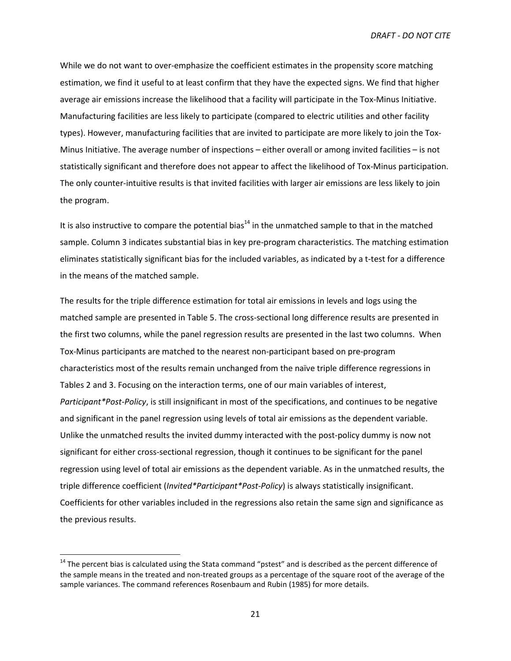While we do not want to over-emphasize the coefficient estimates in the propensity score matching estimation, we find it useful to at least confirm that they have the expected signs. We find that higher average air emissions increase the likelihood that a facility will participate in the Tox-Minus Initiative. Manufacturing facilities are less likely to participate (compared to electric utilities and other facility types). However, manufacturing facilities that are invited to participate are more likely to join the Tox-Minus Initiative. The average number of inspections – either overall or among invited facilities – is not statistically significant and therefore does not appear to affect the likelihood of Tox-Minus participation. The only counter-intuitive results is that invited facilities with larger air emissions are less likely to join the program.

It is also instructive to compare the potential bias<sup>14</sup> in the unmatched sample to that in the matched sample. Column 3 indicates substantial bias in key pre-program characteristics. The matching estimation eliminates statistically significant bias for the included variables, as indicated by a t-test for a difference in the means of the matched sample.

The results for the triple difference estimation for total air emissions in levels and logs using the matched sample are presented in Table 5. The cross-sectional long difference results are presented in the first two columns, while the panel regression results are presented in the last two columns. When Tox-Minus participants are matched to the nearest non-participant based on pre-program characteristics most of the results remain unchanged from the naïve triple difference regressions in Tables 2 and 3. Focusing on the interaction terms, one of our main variables of interest, *Participant\*Post-Policy*, is still insignificant in most of the specifications, and continues to be negative and significant in the panel regression using levels of total air emissions as the dependent variable. Unlike the unmatched results the invited dummy interacted with the post-policy dummy is now not significant for either cross-sectional regression, though it continues to be significant for the panel regression using level of total air emissions as the dependent variable. As in the unmatched results, the triple difference coefficient (*Invited\*Participant\*Post-Policy*) is always statistically insignificant. Coefficients for other variables included in the regressions also retain the same sign and significance as the previous results.

-

<sup>&</sup>lt;sup>14</sup> The percent bias is calculated using the Stata command "pstest" and is described as the percent difference of the sample means in the treated and non-treated groups as a percentage of the square root of the average of the sample variances. The command references Rosenbaum and Rubin (1985) for more details.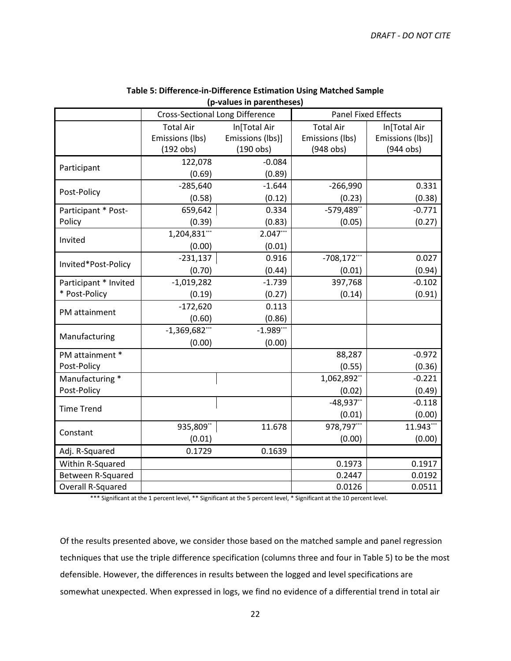|                          | <b>Cross-Sectional Long Difference</b> |                  | <b>Panel Fixed Effects</b> |                  |  |
|--------------------------|----------------------------------------|------------------|----------------------------|------------------|--|
|                          | <b>Total Air</b>                       | In[Total Air     |                            | In[Total Air     |  |
|                          | Emissions (lbs)                        | Emissions (lbs)] | Emissions (lbs)            | Emissions (lbs)] |  |
|                          | $(192$ obs)                            | $(190$ obs)      | $(948$ obs)                | $(944$ obs)      |  |
|                          | 122,078                                | $-0.084$         |                            |                  |  |
| Participant              | (0.69)                                 | (0.89)           |                            |                  |  |
| Post-Policy              | $-285,640$                             | $-1.644$         | $-266,990$                 | 0.331            |  |
|                          | (0.58)                                 | (0.12)           | (0.23)                     | (0.38)           |  |
| Participant * Post-      | 659,642                                | 0.334            | $-579,489"$                | $-0.771$         |  |
| Policy                   | (0.39)                                 | (0.83)           | (0.05)                     | (0.27)           |  |
| Invited                  | 1,204,831***                           | $2.047***$       |                            |                  |  |
|                          | (0.00)                                 | (0.01)           |                            |                  |  |
| Invited*Post-Policy      | $-231,137$                             | 0.916            | $-708,172$ ***             | 0.027            |  |
|                          | (0.70)                                 | (0.44)           | (0.01)                     | (0.94)           |  |
| Participant * Invited    | $-1,019,282$                           | $-1.739$         | 397,768                    | $-0.102$         |  |
| * Post-Policy            | (0.19)                                 | (0.27)           | (0.14)                     | (0.91)           |  |
| PM attainment            | $-172,620$                             | 0.113            |                            |                  |  |
|                          | (0.60)                                 | (0.86)           |                            |                  |  |
| Manufacturing            | $-1,369,682$ ***                       | $-1.989***$      |                            |                  |  |
|                          | (0.00)                                 | (0.00)           |                            |                  |  |
| PM attainment *          |                                        |                  | 88,287                     | $-0.972$         |  |
| Post-Policy              |                                        |                  | (0.55)                     | (0.36)           |  |
| Manufacturing *          |                                        |                  | 1,062,892**                | $-0.221$         |  |
| Post-Policy              |                                        |                  | (0.02)                     | (0.49)           |  |
| <b>Time Trend</b>        |                                        |                  | $-48,937"$                 | $-0.118$         |  |
|                          |                                        |                  | (0.01)                     | (0.00)           |  |
| Constant                 | 935,809**                              | 11.678           | 978,797***                 | 11.943***        |  |
|                          | (0.01)                                 |                  | (0.00)                     | (0.00)           |  |
| Adj. R-Squared           | 0.1729                                 | 0.1639           |                            |                  |  |
| Within R-Squared         |                                        |                  | 0.1973                     | 0.1917           |  |
| Between R-Squared        |                                        |                  | 0.2447                     | 0.0192           |  |
| <b>Overall R-Squared</b> |                                        |                  | 0.0126                     | 0.0511           |  |

### **Table 5: Difference-in-Difference Estimation Using Matched Sample (p-values in parentheses)**

\*\*\* Significant at the 1 percent level, \*\* Significant at the 5 percent level, \* Significant at the 10 percent level.

Of the results presented above, we consider those based on the matched sample and panel regression techniques that use the triple difference specification (columns three and four in Table 5) to be the most defensible. However, the differences in results between the logged and level specifications are somewhat unexpected. When expressed in logs, we find no evidence of a differential trend in total air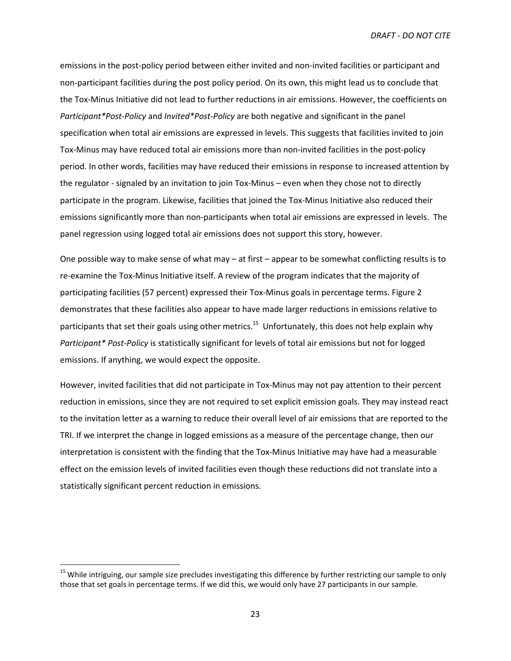emissions in the post-policy period between either invited and non-invited facilities or participant and non-participant facilities during the post policy period. On its own, this might lead us to conclude that the Tox-Minus Initiative did not lead to further reductions in air emissions. However, the coefficients on *Participant\*Post-Policy* and *Invited\*Post-Policy* are both negative and significant in the panel specification when total air emissions are expressed in levels. This suggests that facilities invited to join Tox-Minus may have reduced total air emissions more than non-invited facilities in the post-policy period. In other words, facilities may have reduced their emissions in response to increased attention by the regulator - signaled by an invitation to join Tox-Minus – even when they chose not to directly participate in the program. Likewise, facilities that joined the Tox-Minus Initiative also reduced their emissions significantly more than non-participants when total air emissions are expressed in levels. The panel regression using logged total air emissions does not support this story, however.

One possible way to make sense of what may – at first – appear to be somewhat conflicting results is to re-examine the Tox-Minus Initiative itself. A review of the program indicates that the majority of participating facilities (57 percent) expressed their Tox-Minus goals in percentage terms. Figure 2 demonstrates that these facilities also appear to have made larger reductions in emissions relative to participants that set their goals using other metrics.<sup>15</sup> Unfortunately, this does not help explain why *Participant\* Post-Policy* is statistically significant for levels of total air emissions but not for logged emissions. If anything, we would expect the opposite.

However, invited facilities that did not participate in Tox-Minus may not pay attention to their percent reduction in emissions, since they are not required to set explicit emission goals. They may instead react to the invitation letter as a warning to reduce their overall level of air emissions that are reported to the TRI. If we interpret the change in logged emissions as a measure of the percentage change, then our interpretation is consistent with the finding that the Tox-Minus Initiative may have had a measurable effect on the emission levels of invited facilities even though these reductions did not translate into a statistically significant percent reduction in emissions.

 $\overline{a}$ 

<sup>&</sup>lt;sup>15</sup> While intriguing, our sample size precludes investigating this difference by further restricting our sample to only those that set goals in percentage terms. If we did this, we would only have 27 participants in our sample.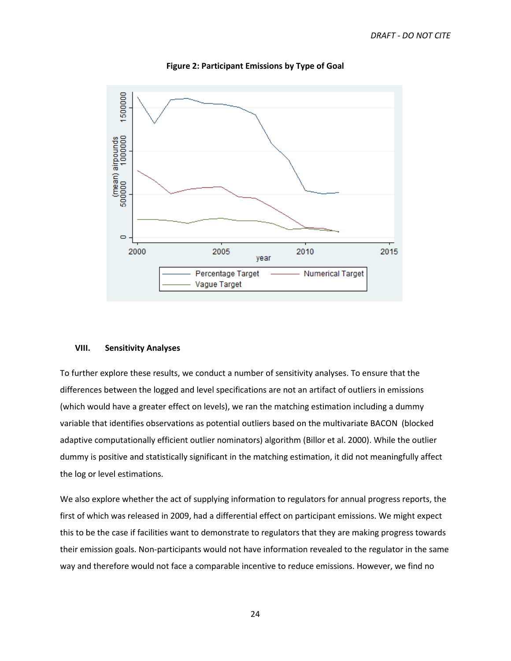

**Figure 2: Participant Emissions by Type of Goal** 

#### **VIII. Sensitivity Analyses**

To further explore these results, we conduct a number of sensitivity analyses. To ensure that the differences between the logged and level specifications are not an artifact of outliers in emissions (which would have a greater effect on levels), we ran the matching estimation including a dummy variable that identifies observations as potential outliers based on the multivariate BACON (blocked adaptive computationally efficient outlier nominators) algorithm (Billor et al. 2000). While the outlier dummy is positive and statistically significant in the matching estimation, it did not meaningfully affect the log or level estimations.

We also explore whether the act of supplying information to regulators for annual progress reports, the first of which was released in 2009, had a differential effect on participant emissions. We might expect this to be the case if facilities want to demonstrate to regulators that they are making progress towards their emission goals. Non-participants would not have information revealed to the regulator in the same way and therefore would not face a comparable incentive to reduce emissions. However, we find no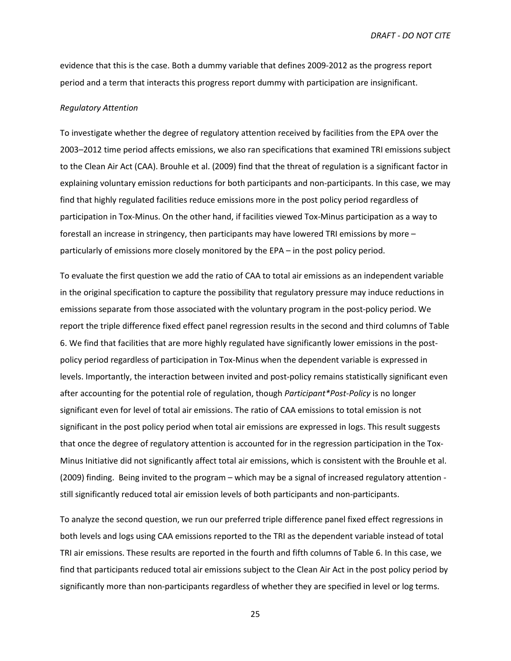evidence that this is the case. Both a dummy variable that defines 2009-2012 as the progress report period and a term that interacts this progress report dummy with participation are insignificant.

#### *Regulatory Attention*

To investigate whether the degree of regulatory attention received by facilities from the EPA over the 2003–2012 time period affects emissions, we also ran specifications that examined TRI emissions subject to the Clean Air Act (CAA). Brouhle et al. (2009) find that the threat of regulation is a significant factor in explaining voluntary emission reductions for both participants and non-participants. In this case, we may find that highly regulated facilities reduce emissions more in the post policy period regardless of participation in Tox-Minus. On the other hand, if facilities viewed Tox-Minus participation as a way to forestall an increase in stringency, then participants may have lowered TRI emissions by more – particularly of emissions more closely monitored by the EPA – in the post policy period.

To evaluate the first question we add the ratio of CAA to total air emissions as an independent variable in the original specification to capture the possibility that regulatory pressure may induce reductions in emissions separate from those associated with the voluntary program in the post-policy period. We report the triple difference fixed effect panel regression results in the second and third columns of Table 6. We find that facilities that are more highly regulated have significantly lower emissions in the postpolicy period regardless of participation in Tox-Minus when the dependent variable is expressed in levels. Importantly, the interaction between invited and post-policy remains statistically significant even after accounting for the potential role of regulation, though *Participant\*Post-Policy* is no longer significant even for level of total air emissions. The ratio of CAA emissions to total emission is not significant in the post policy period when total air emissions are expressed in logs. This result suggests that once the degree of regulatory attention is accounted for in the regression participation in the Tox-Minus Initiative did not significantly affect total air emissions, which is consistent with the Brouhle et al. (2009) finding. Being invited to the program – which may be a signal of increased regulatory attention still significantly reduced total air emission levels of both participants and non-participants.

To analyze the second question, we run our preferred triple difference panel fixed effect regressions in both levels and logs using CAA emissions reported to the TRI as the dependent variable instead of total TRI air emissions. These results are reported in the fourth and fifth columns of Table 6. In this case, we find that participants reduced total air emissions subject to the Clean Air Act in the post policy period by significantly more than non-participants regardless of whether they are specified in level or log terms.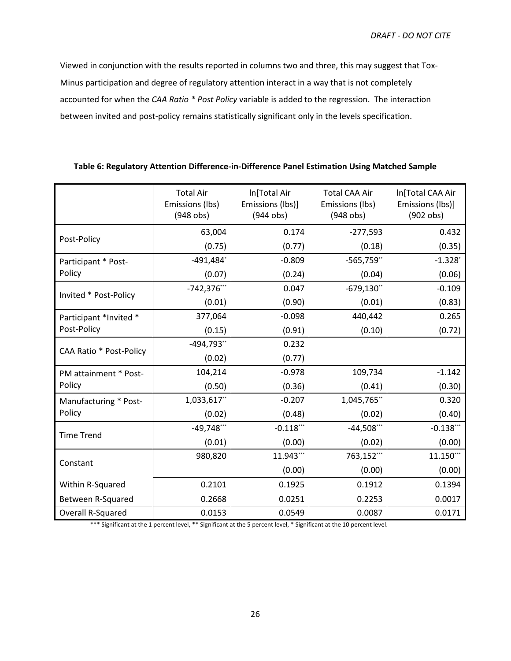Viewed in conjunction with the results reported in columns two and three, this may suggest that Tox-Minus participation and degree of regulatory attention interact in a way that is not completely accounted for when the *CAA Ratio \* Post Policy* variable is added to the regression. The interaction between invited and post-policy remains statistically significant only in the levels specification.

|                         | <b>Total Air</b><br>Emissions (lbs)<br>$(948$ obs) | In[Total Air<br>Emissions (lbs)]<br>$(944$ obs) | <b>Total CAA Air</b><br>Emissions (lbs)<br>$(948$ obs) | In[Total CAA Air<br>Emissions (lbs)]<br>$(902$ obs) |
|-------------------------|----------------------------------------------------|-------------------------------------------------|--------------------------------------------------------|-----------------------------------------------------|
|                         | 63,004                                             | 0.174                                           | $-277,593$                                             | 0.432                                               |
| Post-Policy             | (0.75)                                             | (0.77)                                          | (0.18)                                                 | (0.35)                                              |
| Participant * Post-     | $-491,484$ <sup>*</sup>                            | $-0.809$                                        | $-565,759$ **                                          | $-1.328$                                            |
| Policy                  | (0.07)                                             | (0.24)                                          | (0.04)                                                 | (0.06)                                              |
| Invited * Post-Policy   | $-742,376$ ***                                     | 0.047                                           | $-679,130$ **                                          | $-0.109$                                            |
|                         | (0.01)                                             | (0.90)                                          | (0.01)                                                 | (0.83)                                              |
| Participant *Invited *  | 377,064                                            | $-0.098$                                        | 440,442                                                | 0.265                                               |
| Post-Policy             | (0.15)                                             | (0.91)                                          | (0.10)                                                 | (0.72)                                              |
| CAA Ratio * Post-Policy | $-494,793"$                                        | 0.232                                           |                                                        |                                                     |
|                         | (0.02)                                             | (0.77)                                          |                                                        |                                                     |
| PM attainment * Post-   | 104,214                                            | $-0.978$                                        | 109,734                                                | $-1.142$                                            |
| Policy                  | (0.50)                                             | (0.36)                                          | (0.41)                                                 | (0.30)                                              |
| Manufacturing * Post-   | 1,033,617**                                        | $-0.207$                                        | 1,045,765**                                            | 0.320                                               |
| Policy                  | (0.02)                                             | (0.48)                                          | (0.02)                                                 | (0.40)                                              |
| <b>Time Trend</b>       | $-49,748***$                                       | $-0.118$ ***                                    | $-44,508***$                                           | $-0.138***$                                         |
|                         | (0.01)                                             | (0.00)                                          | (0.02)                                                 | (0.00)                                              |
| Constant                | 980,820                                            | 11.943***                                       | 763,152***                                             | 11.150***                                           |
|                         |                                                    | (0.00)                                          | (0.00)                                                 | (0.00)                                              |
| Within R-Squared        | 0.2101                                             | 0.1925                                          | 0.1912                                                 | 0.1394                                              |
| Between R-Squared       | 0.2668                                             | 0.0251                                          | 0.2253                                                 | 0.0017                                              |
| Overall R-Squared       | 0.0153                                             | 0.0549                                          | 0.0087                                                 | 0.0171                                              |

# **Table 6: Regulatory Attention Difference-in-Difference Panel Estimation Using Matched Sample**

\*\*\* Significant at the 1 percent level, \*\* Significant at the 5 percent level, \* Significant at the 10 percent level.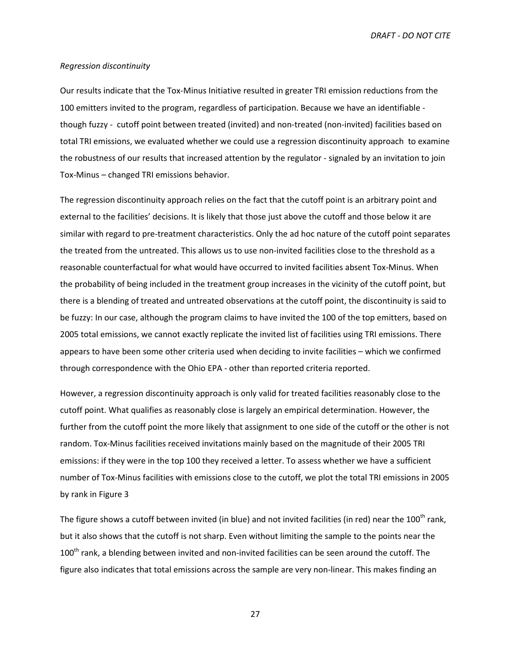#### *Regression discontinuity*

Our results indicate that the Tox-Minus Initiative resulted in greater TRI emission reductions from the 100 emitters invited to the program, regardless of participation. Because we have an identifiable though fuzzy - cutoff point between treated (invited) and non-treated (non-invited) facilities based on total TRI emissions, we evaluated whether we could use a regression discontinuity approach to examine the robustness of our results that increased attention by the regulator - signaled by an invitation to join Tox-Minus – changed TRI emissions behavior.

The regression discontinuity approach relies on the fact that the cutoff point is an arbitrary point and external to the facilities' decisions. It is likely that those just above the cutoff and those below it are similar with regard to pre-treatment characteristics. Only the ad hoc nature of the cutoff point separates the treated from the untreated. This allows us to use non-invited facilities close to the threshold as a reasonable counterfactual for what would have occurred to invited facilities absent Tox-Minus. When the probability of being included in the treatment group increases in the vicinity of the cutoff point, but there is a blending of treated and untreated observations at the cutoff point, the discontinuity is said to be fuzzy: In our case, although the program claims to have invited the 100 of the top emitters, based on 2005 total emissions, we cannot exactly replicate the invited list of facilities using TRI emissions. There appears to have been some other criteria used when deciding to invite facilities – which we confirmed through correspondence with the Ohio EPA - other than reported criteria reported.

However, a regression discontinuity approach is only valid for treated facilities reasonably close to the cutoff point. What qualifies as reasonably close is largely an empirical determination. However, the further from the cutoff point the more likely that assignment to one side of the cutoff or the other is not random. Tox-Minus facilities received invitations mainly based on the magnitude of their 2005 TRI emissions: if they were in the top 100 they received a letter. To assess whether we have a sufficient number of Tox-Minus facilities with emissions close to the cutoff, we plot the total TRI emissions in 2005 by rank in Figure 3

The figure shows a cutoff between invited (in blue) and not invited facilities (in red) near the  $100^{th}$  rank, but it also shows that the cutoff is not sharp. Even without limiting the sample to the points near the 100<sup>th</sup> rank, a blending between invited and non-invited facilities can be seen around the cutoff. The figure also indicates that total emissions across the sample are very non-linear. This makes finding an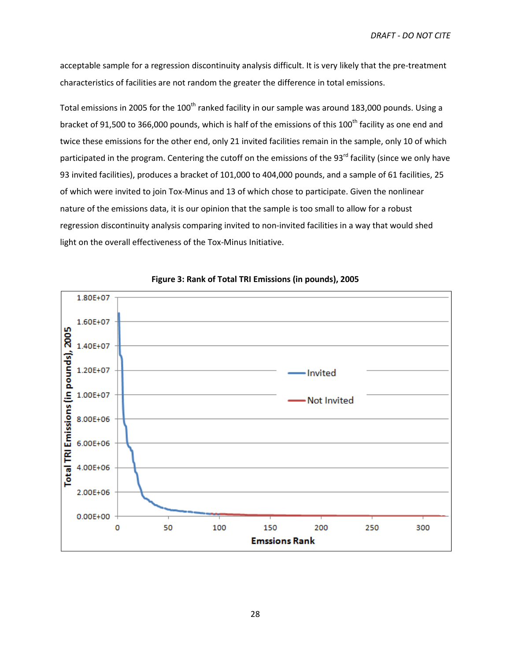acceptable sample for a regression discontinuity analysis difficult. It is very likely that the pre-treatment characteristics of facilities are not random the greater the difference in total emissions.

Total emissions in 2005 for the 100<sup>th</sup> ranked facility in our sample was around 183,000 pounds. Using a bracket of 91,500 to 366,000 pounds, which is half of the emissions of this 100<sup>th</sup> facility as one end and twice these emissions for the other end, only 21 invited facilities remain in the sample, only 10 of which participated in the program. Centering the cutoff on the emissions of the 93<sup>rd</sup> facility (since we only have 93 invited facilities), produces a bracket of 101,000 to 404,000 pounds, and a sample of 61 facilities, 25 of which were invited to join Tox-Minus and 13 of which chose to participate. Given the nonlinear nature of the emissions data, it is our opinion that the sample is too small to allow for a robust regression discontinuity analysis comparing invited to non-invited facilities in a way that would shed light on the overall effectiveness of the Tox-Minus Initiative.



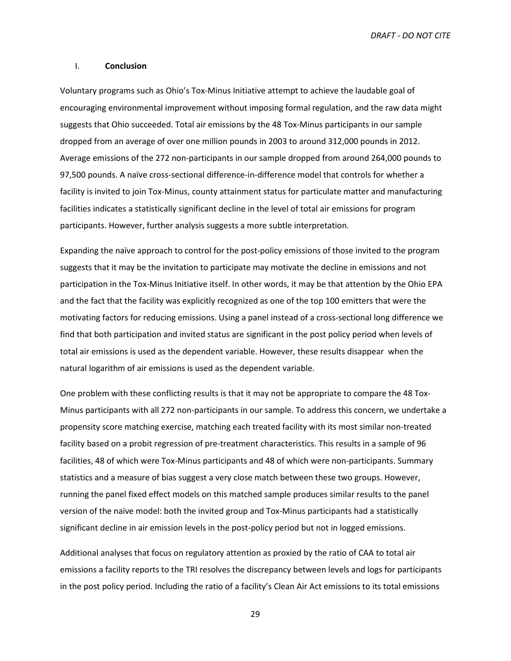#### I. **Conclusion**

Voluntary programs such as Ohio's Tox-Minus Initiative attempt to achieve the laudable goal of encouraging environmental improvement without imposing formal regulation, and the raw data might suggests that Ohio succeeded. Total air emissions by the 48 Tox-Minus participants in our sample dropped from an average of over one million pounds in 2003 to around 312,000 pounds in 2012. Average emissions of the 272 non-participants in our sample dropped from around 264,000 pounds to 97,500 pounds. A naïve cross-sectional difference-in-difference model that controls for whether a facility is invited to join Tox-Minus, county attainment status for particulate matter and manufacturing facilities indicates a statistically significant decline in the level of total air emissions for program participants. However, further analysis suggests a more subtle interpretation.

Expanding the naïve approach to control for the post-policy emissions of those invited to the program suggests that it may be the invitation to participate may motivate the decline in emissions and not participation in the Tox-Minus Initiative itself. In other words, it may be that attention by the Ohio EPA and the fact that the facility was explicitly recognized as one of the top 100 emitters that were the motivating factors for reducing emissions. Using a panel instead of a cross-sectional long difference we find that both participation and invited status are significant in the post policy period when levels of total air emissions is used as the dependent variable. However, these results disappear when the natural logarithm of air emissions is used as the dependent variable.

One problem with these conflicting results is that it may not be appropriate to compare the 48 Tox-Minus participants with all 272 non-participants in our sample. To address this concern, we undertake a propensity score matching exercise, matching each treated facility with its most similar non-treated facility based on a probit regression of pre-treatment characteristics. This results in a sample of 96 facilities, 48 of which were Tox-Minus participants and 48 of which were non-participants. Summary statistics and a measure of bias suggest a very close match between these two groups. However, running the panel fixed effect models on this matched sample produces similar results to the panel version of the naïve model: both the invited group and Tox-Minus participants had a statistically significant decline in air emission levels in the post-policy period but not in logged emissions.

Additional analyses that focus on regulatory attention as proxied by the ratio of CAA to total air emissions a facility reports to the TRI resolves the discrepancy between levels and logs for participants in the post policy period. Including the ratio of a facility's Clean Air Act emissions to its total emissions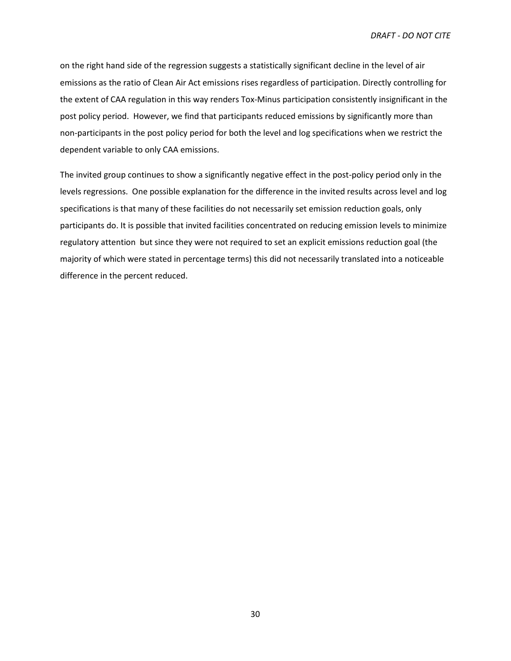on the right hand side of the regression suggests a statistically significant decline in the level of air emissions as the ratio of Clean Air Act emissions rises regardless of participation. Directly controlling for the extent of CAA regulation in this way renders Tox-Minus participation consistently insignificant in the post policy period. However, we find that participants reduced emissions by significantly more than non-participants in the post policy period for both the level and log specifications when we restrict the dependent variable to only CAA emissions.

The invited group continues to show a significantly negative effect in the post-policy period only in the levels regressions. One possible explanation for the difference in the invited results across level and log specifications is that many of these facilities do not necessarily set emission reduction goals, only participants do. It is possible that invited facilities concentrated on reducing emission levels to minimize regulatory attention but since they were not required to set an explicit emissions reduction goal (the majority of which were stated in percentage terms) this did not necessarily translated into a noticeable difference in the percent reduced.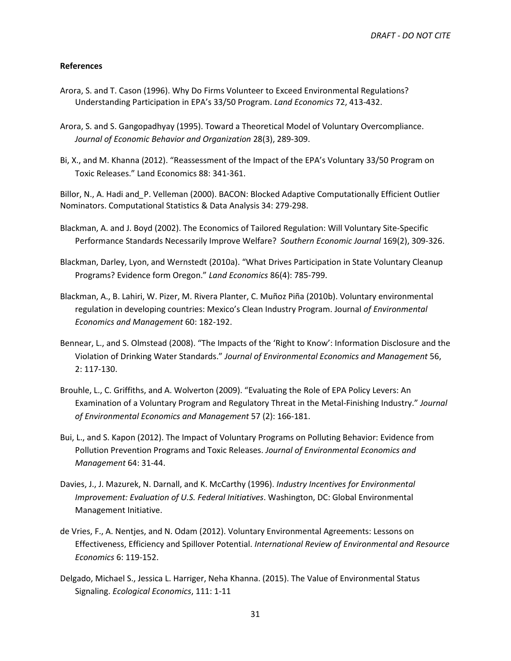## **References**

- Arora, S. and T. Cason (1996). Why Do Firms Volunteer to Exceed Environmental Regulations? Understanding Participation in EPA's 33/50 Program. *Land Economics* 72, 413-432.
- Arora, S. and S. Gangopadhyay (1995). Toward a Theoretical Model of Voluntary Overcompliance. *Journal of Economic Behavior and Organization* 28(3), 289-309.
- Bi, X., and M. Khanna (2012). "Reassessment of the Impact of the EPA's Voluntary 33/50 Program on Toxic Releases." Land Economics 88: 341-361.

Billor, N., A. Hadi and*\_*P. Velleman (2000). BACON: Blocked Adaptive Computationally Efficient Outlier Nominators. Computational Statistics & Data Analysis 34: 279-298.

- Blackman, A. and J. Boyd (2002). The Economics of Tailored Regulation: Will Voluntary Site-Specific Performance Standards Necessarily Improve Welfare? *Southern Economic Journal* 169(2), 309-326.
- Blackman, Darley, Lyon, and Wernstedt (2010a). "What Drives Participation in State Voluntary Cleanup Programs? Evidence form Oregon." *Land Economics* 86(4): 785-799.
- Blackman, A., B. Lahiri, W. Pizer, M. Rivera Planter, C. Muñoz Piña (2010b). Voluntary environmental regulation in developing countries: Mexico's Clean Industry Program. Journal *of Environmental Economics and Management* 60: 182-192.
- Bennear, L., and S. Olmstead (2008). "The Impacts of the 'Right to Know': Information Disclosure and the Violation of Drinking Water Standards." *Journal of Environmental Economics and Management* 56, 2: 117-130.
- Brouhle, L., C. Griffiths, and A. Wolverton (2009). "Evaluating the Role of EPA Policy Levers: An Examination of a Voluntary Program and Regulatory Threat in the Metal-Finishing Industry." *Journal of Environmental Economics and Management* 57 (2): 166-181.
- Bui, L., and S. Kapon (2012). The Impact of Voluntary Programs on Polluting Behavior: Evidence from Pollution Prevention Programs and Toxic Releases. *Journal of Environmental Economics and Management* 64: 31-44.
- Davies, J., J. Mazurek, N. Darnall, and K. McCarthy (1996). *Industry Incentives for Environmental Improvement: Evaluation of U.S. Federal Initiatives*. Washington, DC: Global Environmental Management Initiative.
- de Vries, F., A. Nentjes, and N. Odam (2012). Voluntary Environmental Agreements: Lessons on Effectiveness, Efficiency and Spillover Potential. *International Review of Environmental and Resource Economics* 6: 119-152.
- Delgado, Michael S., Jessica L. Harriger, Neha Khanna. (2015). The Value of Environmental Status Signaling. *Ecological Economics*, 111: 1-11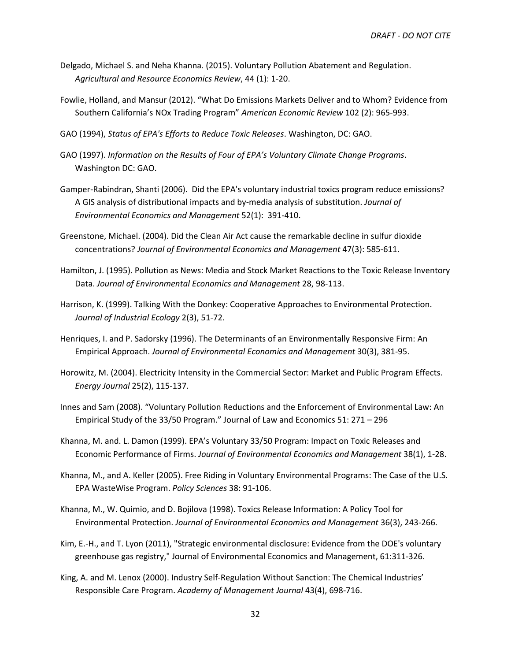- Delgado, Michael S. and Neha Khanna. (2015). Voluntary Pollution Abatement and Regulation. *Agricultural and Resource Economics Review*, 44 (1): 1-20.
- Fowlie, Holland, and Mansur (2012). "What Do Emissions Markets Deliver and to Whom? Evidence from Southern California's NOx Trading Program" *American Economic Review* 102 (2): 965-993.
- GAO (1994), *Status of EPA's Efforts to Reduce Toxic Releases*. Washington, DC: GAO.
- GAO (1997). *Information on the Results of Four of EPA's Voluntary Climate Change Programs*. Washington DC: GAO.
- Gamper-Rabindran, Shanti (2006). Did the EPA's voluntary industrial toxics program reduce emissions? A GIS analysis of distributional impacts and by-media analysis of substitution. *Journal of Environmental Economics and Management* 52(1): 391-410.
- Greenstone, Michael. (2004). Did the Clean Air Act cause the remarkable decline in sulfur dioxide concentrations? *Journal of Environmental Economics and Management* 47(3): 585-611.
- Hamilton, J. (1995). Pollution as News: Media and Stock Market Reactions to the Toxic Release Inventory Data. *Journal of Environmental Economics and Management* 28, 98-113.
- Harrison, K. (1999). Talking With the Donkey: Cooperative Approaches to Environmental Protection. *Journal of Industrial Ecology* 2(3), 51-72.
- Henriques, I. and P. Sadorsky (1996). The Determinants of an Environmentally Responsive Firm: An Empirical Approach. *Journal of Environmental Economics and Management* 30(3), 381-95.
- Horowitz, M. (2004). Electricity Intensity in the Commercial Sector: Market and Public Program Effects. *Energy Journal* 25(2), 115-137.
- Innes and Sam (2008). "Voluntary Pollution Reductions and the Enforcement of Environmental Law: An Empirical Study of the 33/50 Program." Journal of Law and Economics 51: 271 – 296
- Khanna, M. and. L. Damon (1999). EPA's Voluntary 33/50 Program: Impact on Toxic Releases and Economic Performance of Firms. *Journal of Environmental Economics and Management* 38(1), 1-28.
- Khanna, M., and A. Keller (2005). Free Riding in Voluntary Environmental Programs: The Case of the U.S. EPA WasteWise Program. *Policy Sciences* 38: 91-106.
- Khanna, M., W. Quimio, and D. Bojilova (1998). Toxics Release Information: A Policy Tool for Environmental Protection. *Journal of Environmental Economics and Management* 36(3), 243-266.
- Kim, E.-H., and T. Lyon (2011), "Strategic environmental disclosure: Evidence from the DOE's voluntary greenhouse gas registry," Journal of Environmental Economics and Management, 61:311-326.
- King, A. and M. Lenox (2000). Industry Self-Regulation Without Sanction: The Chemical Industries' Responsible Care Program. *Academy of Management Journal* 43(4), 698-716.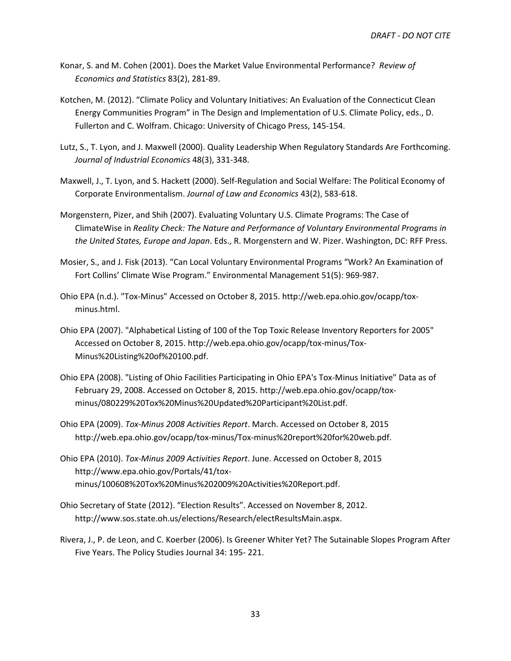- Konar, S. and M. Cohen (2001). Does the Market Value Environmental Performance? *Review of Economics and Statistics* 83(2), 281-89.
- Kotchen, M. (2012). "Climate Policy and Voluntary Initiatives: An Evaluation of the Connecticut Clean Energy Communities Program" in The Design and Implementation of U.S. Climate Policy, eds., D. Fullerton and C. Wolfram. Chicago: University of Chicago Press, 145-154.
- Lutz, S., T. Lyon, and J. Maxwell (2000). Quality Leadership When Regulatory Standards Are Forthcoming. *Journal of Industrial Economics* 48(3), 331-348.
- Maxwell, J., T. Lyon, and S. Hackett (2000). Self-Regulation and Social Welfare: The Political Economy of Corporate Environmentalism. *Journal of Law and Economics* 43(2), 583-618.
- Morgenstern, Pizer, and Shih (2007). Evaluating Voluntary U.S. Climate Programs: The Case of ClimateWise in *Reality Check: The Nature and Performance of Voluntary Environmental Programs in the United States, Europe and Japan*. Eds., R. Morgenstern and W. Pizer. Washington, DC: RFF Press.
- Mosier, S., and J. Fisk (2013). "Can Local Voluntary Environmental Programs "Work? An Examination of Fort Collins' Climate Wise Program." Environmental Management 51(5): 969-987.
- Ohio EPA (n.d.). "Tox-Minus" Accessed on October 8, 2015. http://web.epa.ohio.gov/ocapp/toxminus.html.
- Ohio EPA (2007). "Alphabetical Listing of 100 of the Top Toxic Release Inventory Reporters for 2005" Accessed on October 8, 2015. http://web.epa.ohio.gov/ocapp/tox-minus/Tox-Minus%20Listing%20of%20100.pdf.
- Ohio EPA (2008). "Listing of Ohio Facilities Participating in Ohio EPA's Tox-Minus Initiative" Data as of February 29, 2008. Accessed on October 8, 2015. http://web.epa.ohio.gov/ocapp/toxminus/080229%20Tox%20Minus%20Updated%20Participant%20List.pdf.
- Ohio EPA (2009). *Tox-Minus 2008 Activities Report*. March. Accessed on October 8, 2015 http://web.epa.ohio.gov/ocapp/tox-minus/Tox-minus%20report%20for%20web.pdf.
- Ohio EPA (2010). *Tox-Minus 2009 Activities Report*. June. Accessed on October 8, 2015 http://www.epa.ohio.gov/Portals/41/toxminus/100608%20Tox%20Minus%202009%20Activities%20Report.pdf.
- Ohio Secretary of State (2012). "Election Results". Accessed on November 8, 2012. http://www.sos.state.oh.us/elections/Research/electResultsMain.aspx.
- Rivera, J., P. de Leon, and C. Koerber (2006). Is Greener Whiter Yet? The Sutainable Slopes Program After Five Years. The Policy Studies Journal 34: 195- 221.